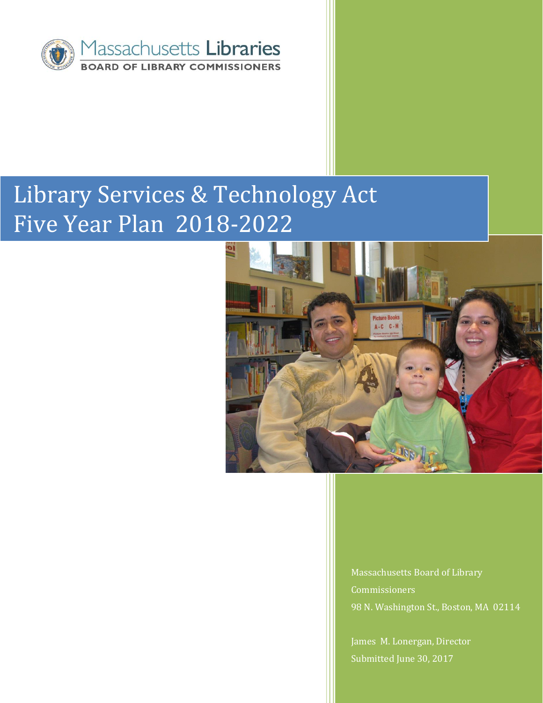

# Library Services & Technology Act Five Year Plan 2018-2022



Massachusetts Board of Library Commissioners 98 N. Washington St., Boston, MA 02114

James M. Lonergan, Director Submitted June 30, 2017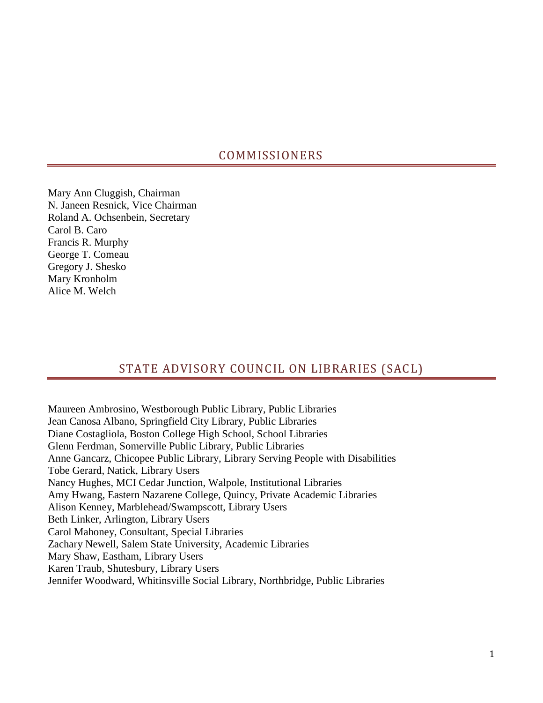# COMMISSIONERS

Mary Ann Cluggish, Chairman N. Janeen Resnick, Vice Chairman Roland A. Ochsenbein, Secretary Carol B. Caro Francis R. Murphy George T. Comeau Gregory J. Shesko Mary Kronholm Alice M. Welch

# STATE ADVISORY COUNCIL ON LIBRARIES (SACL)

Maureen Ambrosino, Westborough Public Library, Public Libraries Jean Canosa Albano, Springfield City Library, Public Libraries Diane Costagliola, Boston College High School, School Libraries Glenn Ferdman, Somerville Public Library, Public Libraries Anne Gancarz, Chicopee Public Library, Library Serving People with Disabilities Tobe Gerard, Natick, Library Users Nancy Hughes, MCI Cedar Junction, Walpole, Institutional Libraries Amy Hwang, Eastern Nazarene College, Quincy, Private Academic Libraries Alison Kenney, Marblehead/Swampscott, Library Users Beth Linker, Arlington, Library Users Carol Mahoney, Consultant, Special Libraries Zachary Newell, Salem State University, Academic Libraries Mary Shaw, Eastham, Library Users Karen Traub, Shutesbury, Library Users Jennifer Woodward, Whitinsville Social Library, Northbridge, Public Libraries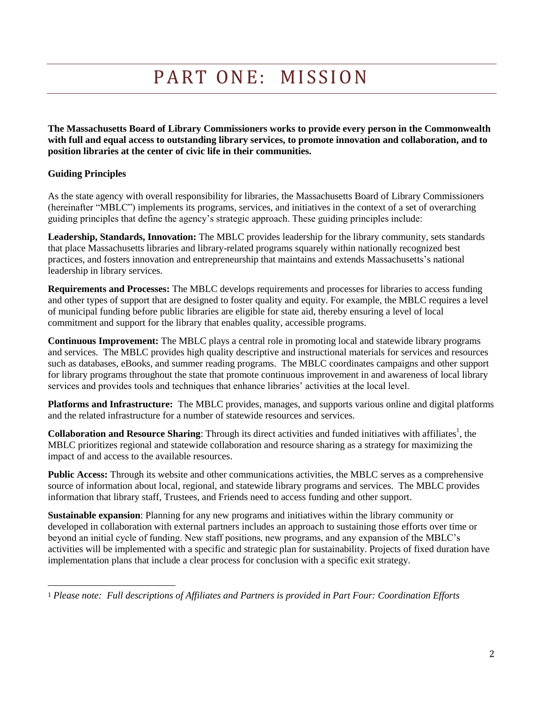# PART ONE: MISSION

**The Massachusetts Board of Library Commissioners works to provide every person in the Commonwealth with full and equal access to outstanding library services, to promote innovation and collaboration, and to position libraries at the center of civic life in their communities.** 

### **Guiding Principles**

 $\overline{\phantom{0}}$ 

As the state agency with overall responsibility for libraries, the Massachusetts Board of Library Commissioners (hereinafter "MBLC") implements its programs, services, and initiatives in the context of a set of overarching guiding principles that define the agency's strategic approach. These guiding principles include:

**Leadership, Standards, Innovation:** The MBLC provides leadership for the library community, sets standards that place Massachusetts libraries and library-related programs squarely within nationally recognized best practices, and fosters innovation and entrepreneurship that maintains and extends Massachusetts's national leadership in library services.

**Requirements and Processes:** The MBLC develops requirements and processes for libraries to access funding and other types of support that are designed to foster quality and equity. For example, the MBLC requires a level of municipal funding before public libraries are eligible for state aid, thereby ensuring a level of local commitment and support for the library that enables quality, accessible programs.

**Continuous Improvement:** The MBLC plays a central role in promoting local and statewide library programs and services. The MBLC provides high quality descriptive and instructional materials for services and resources such as databases, eBooks, and summer reading programs. The MBLC coordinates campaigns and other support for library programs throughout the state that promote continuous improvement in and awareness of local library services and provides tools and techniques that enhance libraries' activities at the local level.

**Platforms and Infrastructure:** The MBLC provides, manages, and supports various online and digital platforms and the related infrastructure for a number of statewide resources and services.

**Collaboration and Resource Sharing**: Through its direct activities and funded initiatives with affiliates<sup>1</sup>, the MBLC prioritizes regional and statewide collaboration and resource sharing as a strategy for maximizing the impact of and access to the available resources.

**Public Access:** Through its website and other communications activities, the MBLC serves as a comprehensive source of information about local, regional, and statewide library programs and services. The MBLC provides information that library staff, Trustees, and Friends need to access funding and other support.

**Sustainable expansion**: Planning for any new programs and initiatives within the library community or developed in collaboration with external partners includes an approach to sustaining those efforts over time or beyond an initial cycle of funding. New staff positions, new programs, and any expansion of the MBLC's activities will be implemented with a specific and strategic plan for sustainability. Projects of fixed duration have implementation plans that include a clear process for conclusion with a specific exit strategy.

<sup>1</sup> *Please note: Full descriptions of Affiliates and Partners is provided in Part Four: Coordination Efforts*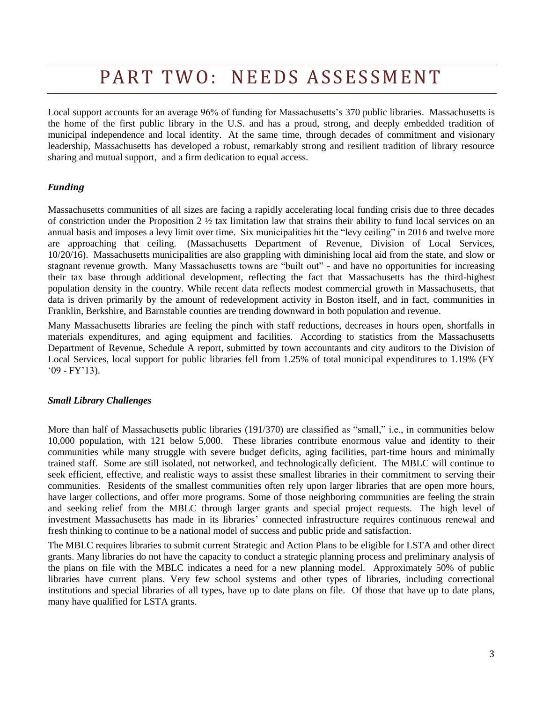# PART TWO: NEEDS ASSESSMENT

Local support accounts for an average 96% of funding for Massachusetts's 370 public libraries. Massachusetts is the home of the first public library in the U.S. and has a proud, strong, and deeply embedded tradition of municipal independence and local identity. At the same time, through decades of commitment and visionary leadership, Massachusetts has developed a robust, remarkably strong and resilient tradition of library resource sharing and mutual support, and a firm dedication to equal access.

#### *Funding*

Massachusetts communities of all sizes are facing a rapidly accelerating local funding crisis due to three decades of constriction under the Proposition 2  $\frac{1}{2}$  tax limitation law that strains their ability to fund local services on an annual basis and imposes a levy limit over time. Six municipalities hit the "levy ceiling" in 2016 and twelve more are approaching that ceiling. (Massachusetts Department of Revenue, Division of Local Services, 10/20/16). Massachusetts municipalities are also grappling with diminishing local aid from the state, and slow or stagnant revenue growth. Many Massachusetts towns are "built out" - and have no opportunities for increasing their tax base through additional development, reflecting the fact that Massachusetts has the third-highest population density in the country. While recent data reflects modest commercial growth in Massachusetts, that data is driven primarily by the amount of redevelopment activity in Boston itself, and in fact, communities in Franklin, Berkshire, and Barnstable counties are trending downward in both population and revenue.

Many Massachusetts libraries are feeling the pinch with staff reductions, decreases in hours open, shortfalls in materials expenditures, and aging equipment and facilities. According to statistics from the Massachusetts Department of Revenue, Schedule A report, submitted by town accountants and city auditors to the Division of Local Services, local support for public libraries fell from 1.25% of total municipal expenditures to 1.19% (FY '09 - FY'13).

#### *Small Library Challenges*

More than half of Massachusetts public libraries (191/370) are classified as "small," i.e., in communities below 10,000 population, with 121 below 5,000. These libraries contribute enormous value and identity to their communities while many struggle with severe budget deficits, aging facilities, part-time hours and minimally trained staff. Some are still isolated, not networked, and technologically deficient. The MBLC will continue to seek efficient, effective, and realistic ways to assist these smallest libraries in their commitment to serving their communities. Residents of the smallest communities often rely upon larger libraries that are open more hours, have larger collections, and offer more programs. Some of those neighboring communities are feeling the strain and seeking relief from the MBLC through larger grants and special project requests. The high level of investment Massachusetts has made in its libraries' connected infrastructure requires continuous renewal and fresh thinking to continue to be a national model of success and public pride and satisfaction.

The MBLC requires libraries to submit current Strategic and Action Plans to be eligible for LSTA and other direct grants. Many libraries do not have the capacity to conduct a strategic planning process and preliminary analysis of the plans on file with the MBLC indicates a need for a new planning model. Approximately 50% of public libraries have current plans. Very few school systems and other types of libraries, including correctional institutions and special libraries of all types, have up to date plans on file. Of those that have up to date plans, many have qualified for LSTA grants.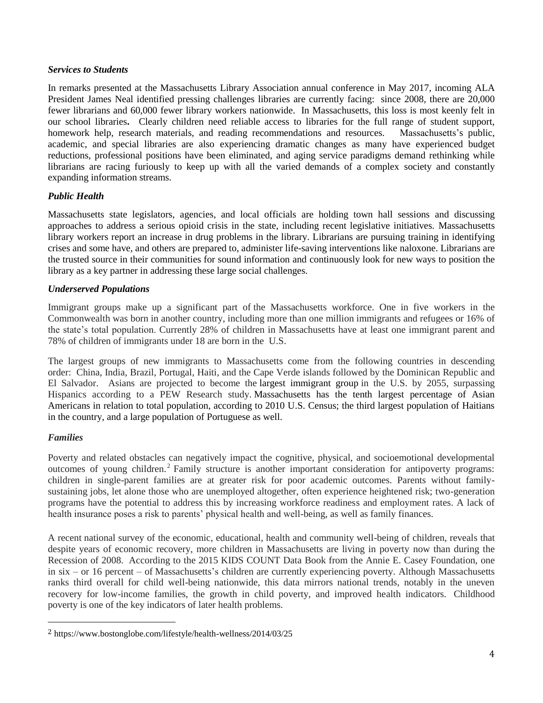#### *Services to Students*

In remarks presented at the Massachusetts Library Association annual conference in May 2017, incoming ALA President James Neal identified pressing challenges libraries are currently facing: since 2008, there are 20,000 fewer librarians and 60,000 fewer library workers nationwide. In Massachusetts, this loss is most keenly felt in our school libraries**.** Clearly children need reliable access to libraries for the full range of student support, homework help, research materials, and reading recommendations and resources. Massachusetts's public, academic, and special libraries are also experiencing dramatic changes as many have experienced budget reductions, professional positions have been eliminated, and aging service paradigms demand rethinking while librarians are racing furiously to keep up with all the varied demands of a complex society and constantly expanding information streams.

### *Public Health*

Massachusetts state legislators, agencies, and local officials are holding town hall sessions and discussing approaches to address a serious opioid crisis in the state, including recent legislative initiatives. Massachusetts library workers report an increase in drug problems in the library. Librarians are pursuing training in identifying crises and some have, and others are prepared to, administer life-saving interventions like naloxone. Librarians are the trusted source in their communities for sound information and continuously look for new ways to position the library as a key partner in addressing these large social challenges.

### *Underserved Populations*

Immigrant groups make up a significant part of the Massachusetts workforce. One in five workers in the Commonwealth was born in another country, including more than one million immigrants and refugees or 16% of the state's total population. Currently 28% of children in Massachusetts have at least one immigrant parent and 78% of children of immigrants under 18 are born in the U.S.

The largest groups of new immigrants to Massachusetts come from the following countries in descending order: China, India, Brazil, Portugal, Haiti, and the Cape Verde islands followed by the Dominican Republic and El Salvador. Asians are projected to become the [largest immigrant group](http://www.pewhispanic.org/2015/09/28/modern-immigration-wave-brings-59-million-to-u-s-driving-population-growth-and-change-through-2065/) in the U.S. by 2055, surpassing Hispanics according to a PEW Research study. Massachusetts has the tenth largest percentage of Asian Americans in relation to total population, according to 2010 U.S. Census; the third largest population of Haitians in the country, and a large population of Portuguese as well.

#### *Families*

 $\overline{\phantom{0}}$ 

Poverty and related obstacles can negatively impact the cognitive, physical, and socioemotional developmental outcomes of young children.<sup>2</sup> Family structure is another important consideration for antipoverty programs: children in single-parent families are at greater risk for poor academic outcomes. Parents without familysustaining jobs, let alone those who are unemployed altogether, often experience heightened risk; two-generation programs have the potential to address this by increasing workforce readiness and employment rates. A lack of health insurance poses a risk to parents' physical health and well-being, as well as family finances.

A recent national survey of the economic, educational, health and community well-being of children, reveals that despite years of economic recovery, more children in Massachusetts are living in poverty now than during the Recession of 2008. According to the 2015 KIDS COUNT Data Book from the Annie E. Casey Foundation, one in six – or 16 percent – of Massachusetts's children are currently experiencing poverty. Although Massachusetts ranks third overall for child well-being nationwide, this data mirrors national trends, notably in the uneven recovery for low-income families, the growth in child poverty, and improved health indicators. Childhood poverty is one of the key indicators of later health problems.

<sup>2</sup> https://www.bostonglobe.com/lifestyle/health-wellness/2014/03/25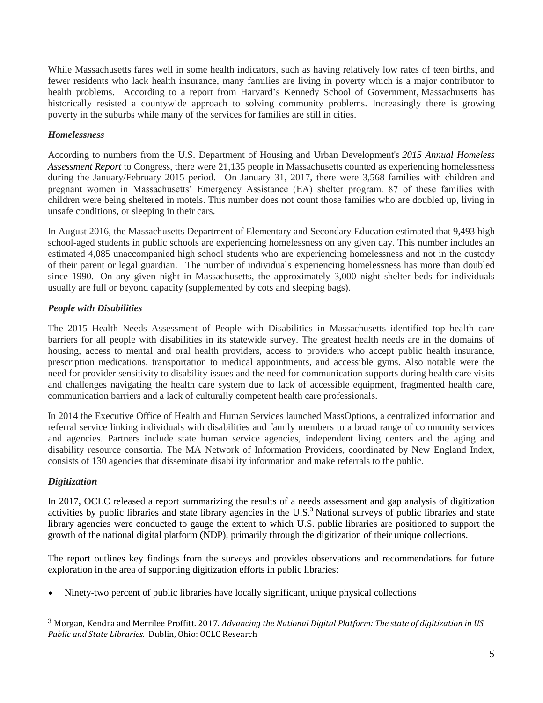While Massachusetts fares well in some health indicators, such as having relatively low rates of teen births, and fewer residents who lack health insurance, many families are living in poverty which is a major contributor to health problems. According to a report from Harvard's Kennedy School of Government, Massachusetts has historically resisted a countywide approach to solving community problems. Increasingly there is growing poverty in the suburbs while many of the services for families are still in cities.

## *Homelessness*

According to numbers from the U.S. Department of Housing and Urban Development's *[2015 Annual Homeless](https://www.hudexchange.info/resources/documents/2015-AHAR-Part-1.pdf)  [Assessment Report](https://www.hudexchange.info/resources/documents/2015-AHAR-Part-1.pdf)* to Congress, there were 21,135 people in Massachusetts counted as experiencing homelessness during the January/February 2015 period. On January 31, 2017, there were 3,568 families with children and pregnant women in Massachusetts' Emergency Assistance (EA) shelter program. 87 of these families with children were being sheltered in motels. This number does not count those families who are doubled up, living in unsafe conditions, or sleeping in their cars.

In August 2016, the Massachusetts Department of Elementary and Secondary Education estimated that 9,493 high school-aged students in public schools are experiencing homelessness on any given day. This number includes an estimated 4,085 unaccompanied high school students who are experiencing homelessness and not in the custody of their parent or legal guardian. The number of individuals experiencing homelessness has more than doubled since 1990. On any given night in Massachusetts, the approximately 3,000 night shelter beds for individuals usually are full or beyond capacity (supplemented by cots and sleeping bags).

## *People with Disabilities*

The 2015 Health Needs Assessment of People with Disabilities in Massachusetts identified top health care barriers for all people with disabilities in its statewide survey. The greatest health needs are in the domains of housing, access to mental and oral health providers, access to providers who accept public health insurance, prescription medications, transportation to medical appointments, and accessible gyms. Also notable were the need for provider sensitivity to disability issues and the need for communication supports during health care visits and challenges navigating the health care system due to lack of accessible equipment, fragmented health care, communication barriers and a lack of culturally competent health care professionals.

In 2014 the Executive Office of Health and Human Services launched MassOptions, a centralized information and referral service linking individuals with disabilities and family members to a broad range of community services and agencies. Partners include state human service agencies, independent living centers and the aging and disability resource consortia. The MA Network of Information Providers, coordinated by New England Index, consists of 130 agencies that disseminate disability information and make referrals to the public.

## *Digitization*

 $\overline{\phantom{0}}$ 

In 2017, OCLC released a report summarizing the results of a needs assessment and gap analysis of digitization activities by public libraries and state library agencies in the U.S.<sup>3</sup> National surveys of public libraries and state library agencies were conducted to gauge the extent to which U.S. public libraries are positioned to support the growth of the national digital platform (NDP), primarily through the digitization of their unique collections.

The report outlines key findings from the surveys and provides observations and recommendations for future exploration in the area of supporting digitization efforts in public libraries:

Ninety-two percent of public libraries have locally significant, unique physical collections

<sup>3</sup> Morgan, Kendra and Merrilee Proffitt. 2017. *Advancing the National Digital Platform: The state of digitization in US Public and State Libraries.* Dublin, Ohio: OCLC Research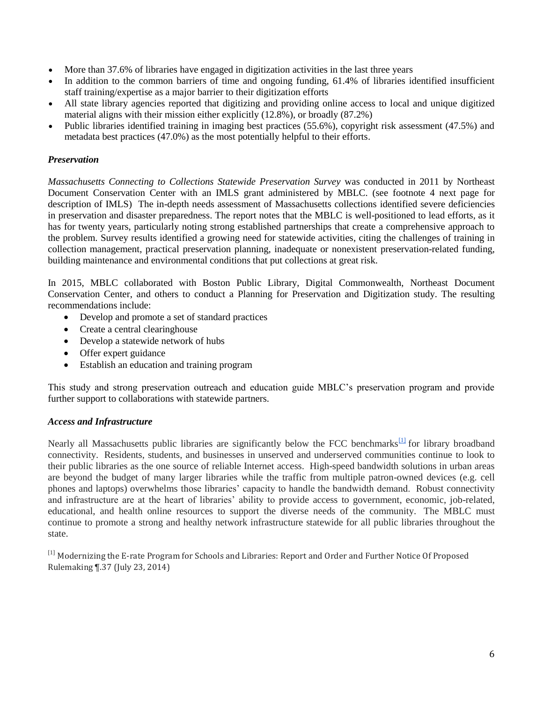- More than 37.6% of libraries have engaged in digitization activities in the last three years
- In addition to the common barriers of time and ongoing funding, 61.4% of libraries identified insufficient staff training/expertise as a major barrier to their digitization efforts
- All state library agencies reported that digitizing and providing online access to local and unique digitized material aligns with their mission either explicitly (12.8%), or broadly (87.2%)
- Public libraries identified training in imaging best practices (55.6%), copyright risk assessment (47.5%) and metadata best practices (47.0%) as the most potentially helpful to their efforts.

### *Preservation*

*Massachusetts Connecting to Collections Statewide Preservation Survey* was conducted in 2011 by Northeast Document Conservation Center with an IMLS grant administered by MBLC. (see footnote 4 next page for description of IMLS) The in-depth needs assessment of Massachusetts collections identified severe deficiencies in preservation and disaster preparedness. The report notes that the MBLC is well-positioned to lead efforts, as it has for twenty years, particularly noting strong established partnerships that create a comprehensive approach to the problem. Survey results identified a growing need for statewide activities, citing the challenges of training in collection management, practical preservation planning, inadequate or nonexistent preservation-related funding, building maintenance and environmental conditions that put collections at great risk.

In 2015, MBLC collaborated with Boston Public Library, Digital Commonwealth, Northeast Document Conservation Center, and others to conduct a Planning for Preservation and Digitization study. The resulting recommendations include:

- Develop and promote a set of standard practices
- Create a central clearinghouse
- Develop a statewide network of hubs
- Offer expert guidance
- Establish an education and training program

This study and strong preservation outreach and education guide MBLC's preservation program and provide further support to collaborations with statewide partners.

#### *Access and Infrastructure*

Nearly all Massachusetts public libraries are significantly below the FCC benchmarks<sup>[\[1\]](https://mail.google.com/mail/u/0/#m_3051146412474331166__ftn1)</sup> for library broadband connectivity. Residents, students, and businesses in unserved and underserved communities continue to look to their public libraries as the one source of reliable Internet access. High-speed bandwidth solutions in urban areas are beyond the budget of many larger libraries while the traffic from multiple patron-owned devices (e.g. cell phones and laptops) overwhelms those libraries' capacity to handle the bandwidth demand. Robust connectivity and infrastructure are at the heart of libraries' ability to provide access to government, economic, job-related, educational, and health online resources to support the diverse needs of the community. The MBLC must continue to promote a strong and healthy network infrastructure statewide for all public libraries throughout the state.

<sup>[1]</sup> Modernizing the E-rate Program for Schools and Libraries: Report and Order and Further Notice Of Proposed Rulemaking ¶.37 (July 23, 2014)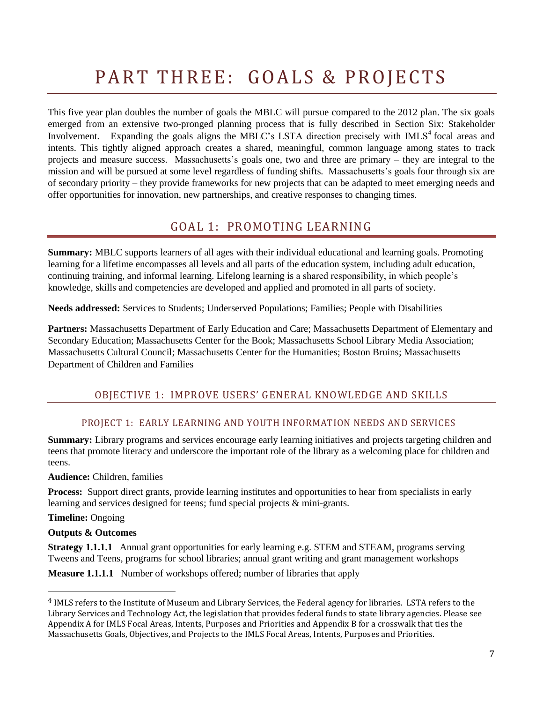# PART THREE: GOALS & PROJECTS

This five year plan doubles the number of goals the MBLC will pursue compared to the 2012 plan. The six goals emerged from an extensive two-pronged planning process that is fully described in Section Six: Stakeholder Involvement. Expanding the goals aligns the MBLC's LSTA direction precisely with IMLS<sup>4</sup> focal areas and intents. This tightly aligned approach creates a shared, meaningful, common language among states to track projects and measure success. Massachusetts's goals one, two and three are primary – they are integral to the mission and will be pursued at some level regardless of funding shifts. Massachusetts's goals four through six are of secondary priority – they provide frameworks for new projects that can be adapted to meet emerging needs and offer opportunities for innovation, new partnerships, and creative responses to changing times.

# GOAL 1: PROMOTING LEARNING

**Summary:** MBLC supports learners of all ages with their individual educational and learning goals. Promoting learning for a lifetime encompasses all levels and all parts of the education system, including adult education, continuing training, and informal learning. Lifelong learning is a shared responsibility, in which people's knowledge, skills and competencies are developed and applied and promoted in all parts of society.

**Needs addressed:** Services to Students; Underserved Populations; Families; People with Disabilities

**Partners:** Massachusetts Department of Early Education and Care; Massachusetts Department of Elementary and Secondary Education; Massachusetts Center for the Book; Massachusetts School Library Media Association; Massachusetts Cultural Council; Massachusetts Center for the Humanities; Boston Bruins; Massachusetts Department of Children and Families

## OBJECTIVE 1: IMPROVE USERS' GENERAL KNOWLEDGE AND SKILLS

## PROJECT 1: EARLY LEARNING AND YOUTH INFORMATION NEEDS AND SERVICES

**Summary:** Library programs and services encourage early learning initiatives and projects targeting children and teens that promote literacy and underscore the important role of the library as a welcoming place for children and teens.

#### **Audience:** Children, families

**Process:** Support direct grants, provide learning institutes and opportunities to hear from specialists in early learning and services designed for teens; fund special projects & mini-grants.

## **Timeline:** Ongoing

 $\overline{\phantom{0}}$ 

#### **Outputs & Outcomes**

**Strategy 1.1.1.1** Annual grant opportunities for early learning e.g. STEM and STEAM, programs serving Tweens and Teens, programs for school libraries; annual grant writing and grant management workshops

**Measure 1.1.1.1** Number of workshops offered; number of libraries that apply

<sup>4</sup> IMLS refers to the Institute of Museum and Library Services, the Federal agency for libraries. LSTA refers to the Library Services and Technology Act, the legislation that provides federal funds to state library agencies. Please see Appendix A for IMLS Focal Areas, Intents, Purposes and Priorities and Appendix B for a crosswalk that ties the Massachusetts Goals, Objectives, and Projects to the IMLS Focal Areas, Intents, Purposes and Priorities.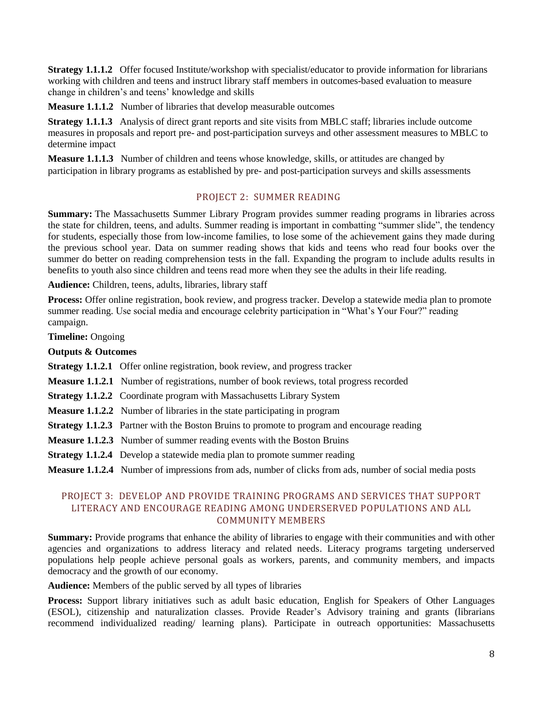**Strategy 1.1.1.2** Offer focused Institute/workshop with specialist/educator to provide information for librarians working with children and teens and instruct library staff members in outcomes-based evaluation to measure change in children's and teens' knowledge and skills

**Measure 1.1.1.2** Number of libraries that develop measurable outcomes

**Strategy 1.1.1.3** Analysis of direct grant reports and site visits from MBLC staff; libraries include outcome measures in proposals and report pre- and post-participation surveys and other assessment measures to MBLC to determine impact

**Measure 1.1.1.3** Number of children and teens whose knowledge, skills, or attitudes are changed by participation in library programs as established by pre- and post-participation surveys and skills assessments

### PROJECT 2: SUMMER READING

**Summary:** The Massachusetts Summer Library Program provides summer reading programs in libraries across the state for children, teens, and adults. Summer reading is important in combatting "summer slide", the tendency for students, especially those from low-income families, to lose some of the achievement gains they made during the previous school year. Data on summer reading shows that kids and teens who read four books over the summer do better on reading comprehension tests in the fall. Expanding the program to include adults results in benefits to youth also since children and teens read more when they see the adults in their life reading.

**Audience:** Children, teens, adults, libraries, library staff

**Process:** Offer online registration, book review, and progress tracker. Develop a statewide media plan to promote summer reading. Use social media and encourage celebrity participation in "What's Your Four?" reading campaign.

**Timeline:** Ongoing

**Outputs & Outcomes**

- **Strategy 1.1.2.1** Offer online registration, book review, and progress tracker
- **Measure 1.1.2.1** Number of registrations, number of book reviews, total progress recorded
- **Strategy 1.1.2.2** Coordinate program with Massachusetts Library System
- **Measure 1.1.2.2** Number of libraries in the state participating in program
- **Strategy 1.1.2.3** Partner with the Boston Bruins to promote to program and encourage reading
- **Measure 1.1.2.3** Number of summer reading events with the Boston Bruins
- **Strategy 1.1.2.4** Develop a statewide media plan to promote summer reading

**Measure 1.1.2.4** Number of impressions from ads, number of clicks from ads, number of social media posts

## PROJECT 3: DEVELOP AND PROVIDE TRAINING PROGRAMS AND SERVICES THAT SUPPORT LITERACY AND ENCOURAGE READING AMONG UNDERSERVED POPULATIONS AND ALL COMMUNITY MEMBERS

**Summary:** Provide programs that enhance the ability of libraries to engage with their communities and with other agencies and organizations to address literacy and related needs. Literacy programs targeting underserved populations help people achieve personal goals as workers, parents, and community members, and impacts democracy and the growth of our economy.

**Audience:** Members of the public served by all types of libraries

**Process:** Support library initiatives such as adult basic education, English for Speakers of Other Languages (ESOL), citizenship and naturalization classes. Provide Reader's Advisory training and grants (librarians recommend individualized reading/ learning plans). Participate in outreach opportunities: Massachusetts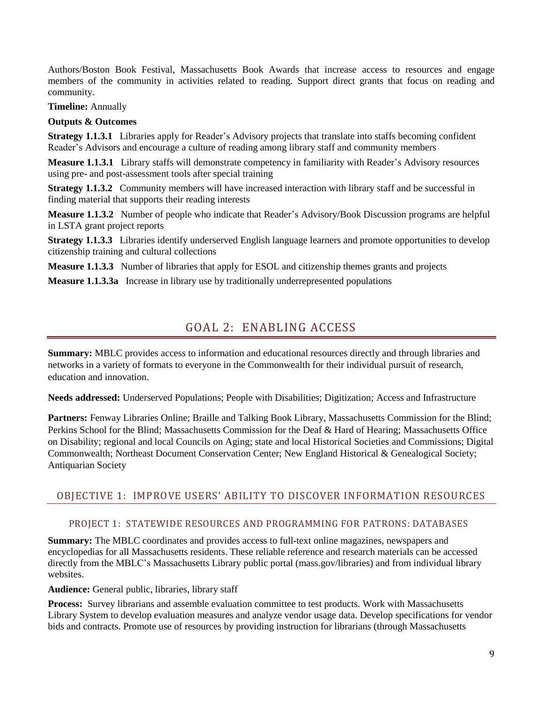Authors/Boston Book Festival, Massachusetts Book Awards that increase access to resources and engage members of the community in activities related to reading. Support direct grants that focus on reading and community.

**Timeline:** Annually

#### **Outputs & Outcomes**

**Strategy 1.1.3.1** Libraries apply for Reader's Advisory projects that translate into staffs becoming confident Reader's Advisors and encourage a culture of reading among library staff and community members

**Measure 1.1.3.1** Library staffs will demonstrate competency in familiarity with Reader's Advisory resources using pre- and post-assessment tools after special training

**Strategy 1.1.3.2** Community members will have increased interaction with library staff and be successful in finding material that supports their reading interests

**Measure 1.1.3.2** Number of people who indicate that Reader's Advisory/Book Discussion programs are helpful in LSTA grant project reports

**Strategy 1.1.3.3** Libraries identify underserved English language learners and promote opportunities to develop citizenship training and cultural collections

**Measure 1.1.3.3** Number of libraries that apply for ESOL and citizenship themes grants and projects

**Measure 1.1.3.3a** Increase in library use by traditionally underrepresented populations

# GOAL 2: ENABLING ACCESS

**Summary:** MBLC provides access to information and educational resources directly and through libraries and networks in a variety of formats to everyone in the Commonwealth for their individual pursuit of research, education and innovation.

**Needs addressed:** Underserved Populations; People with Disabilities; Digitization; Access and Infrastructure

**Partners:** Fenway Libraries Online; Braille and Talking Book Library, Massachusetts Commission for the Blind; Perkins School for the Blind; Massachusetts Commission for the Deaf & Hard of Hearing; Massachusetts Office on Disability; regional and local Councils on Aging; state and local Historical Societies and Commissions; Digital Commonwealth; Northeast Document Conservation Center; New England Historical & Genealogical Society; Antiquarian Society

## OBJECTIVE 1: IMPROVE USERS' ABILITY TO DISCOVER INFORMATION RESOURCES

#### PROJECT 1: STATEWIDE RESOURCES AND PROGRAMMING FOR PATRONS: DATABASES

**Summary:** The MBLC coordinates and provides access to full-text online magazines, newspapers and encyclopedias for all Massachusetts residents. These reliable reference and research materials can be accessed directly from the MBLC's Massachusetts Library public portal [\(mass.gov/libraries\)](http://mass.gov/libraries) and from individual library websites.

**Audience:** General public, libraries, library staff

**Process:** Survey librarians and assemble evaluation committee to test products. Work with Massachusetts Library System to develop evaluation measures and analyze vendor usage data. Develop specifications for vendor bids and contracts. Promote use of resources by providing instruction for librarians (through Massachusetts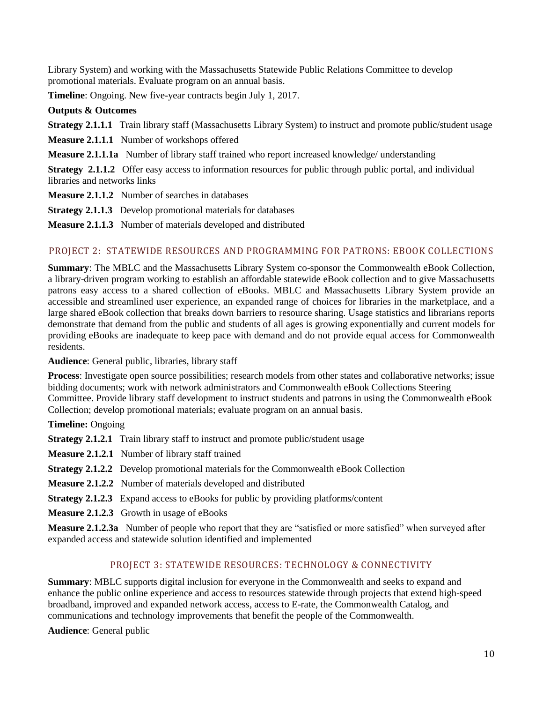Library System) and working with the Massachusetts Statewide Public Relations Committee to develop promotional materials. Evaluate program on an annual basis.

**Timeline**: Ongoing. New five-year contracts begin July 1, 2017.

### **Outputs & Outcomes**

**Strategy 2.1.1.1** Train library staff (Massachusetts Library System) to instruct and promote public/student usage

**Measure 2.1.1.1** Number of workshops offered

**Measure 2.1.1.1a** Number of library staff trained who report increased knowledge/ understanding

**Strategy 2.1.1.2** Offer easy access to information resources for public through public portal, and individual libraries and networks links

- **Measure 2.1.1.2** Number of searches in databases
- **Strategy 2.1.1.3** Develop promotional materials for databases
- **Measure 2.1.1.3** Number of materials developed and distributed

## PROJECT 2: STATEWIDE RESOURCES AND PROGRAMMING FOR PATRONS: EBOOK COLLECTIONS

**Summary**: The MBLC and the Massachusetts Library System co-sponsor the Commonwealth eBook Collection, a library-driven program working to establish an affordable statewide eBook collection and to give Massachusetts patrons easy access to a shared collection of eBooks. MBLC and Massachusetts Library System provide an accessible and streamlined user experience, an expanded range of choices for libraries in the marketplace, and a large shared eBook collection that breaks down barriers to resource sharing. Usage statistics and librarians reports demonstrate that demand from the public and students of all ages is growing exponentially and current models for providing eBooks are inadequate to keep pace with demand and do not provide equal access for Commonwealth residents.

**Audience**: General public, libraries, library staff

**Process**: Investigate open source possibilities; research models from other states and collaborative networks; issue bidding documents; work with network administrators and Commonwealth eBook Collections Steering Committee. Provide library staff development to instruct students and patrons in using the Commonwealth eBook Collection; develop promotional materials; evaluate program on an annual basis.

**Timeline:** Ongoing

**Strategy 2.1.2.1** Train library staff to instruct and promote public/student usage

- **Measure 2.1.2.1** Number of library staff trained
- **Strategy 2.1.2.2** Develop promotional materials for the Commonwealth eBook Collection
- **Measure 2.1.2.2** Number of materials developed and distributed
- **Strategy 2.1.2.3** Expand access to eBooks for public by providing platforms/content
- **Measure 2.1.2.3** Growth in usage of eBooks

**Measure 2.1.2.3a** Number of people who report that they are "satisfied or more satisfied" when surveyed after expanded access and statewide solution identified and implemented

## PROJECT 3: STATEWIDE RESOURCES: TECHNOLOGY & CONNECTIVITY

**Summary**: MBLC supports digital inclusion for everyone in the Commonwealth and seeks to expand and enhance the public online experience and access to resources statewide through projects that extend high-speed broadband, improved and expanded network access, access to E-rate, the Commonwealth Catalog, and communications and technology improvements that benefit the people of the Commonwealth.

**Audience**: General public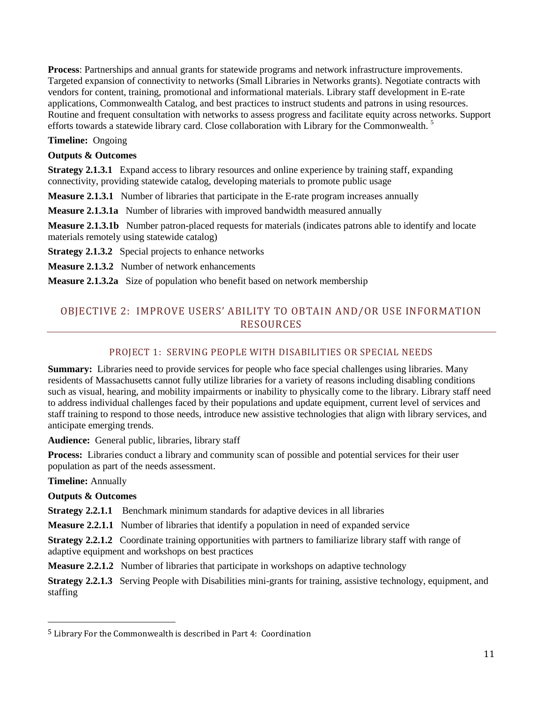**Process**: Partnerships and annual grants for statewide programs and network infrastructure improvements. Targeted expansion of connectivity to networks (Small Libraries in Networks grants). Negotiate contracts with vendors for content, training, promotional and informational materials. Library staff development in E-rate applications, Commonwealth Catalog, and best practices to instruct students and patrons in using resources. Routine and frequent consultation with networks to assess progress and facilitate equity across networks. Support efforts towards a statewide library card. Close collaboration with Library for the Commonwealth.<sup>5</sup>

### **Timeline:** Ongoing

#### **Outputs & Outcomes**

**Strategy 2.1.3.1** Expand access to library resources and online experience by training staff, expanding connectivity, providing statewide catalog, developing materials to promote public usage

**Measure 2.1.3.1** Number of libraries that participate in the E-rate program increases annually

**Measure 2.1.3.1a** Number of libraries with improved bandwidth measured annually

**Measure 2.1.3.1b** Number patron-placed requests for materials (indicates patrons able to identify and locate materials remotely using statewide catalog)

**Strategy 2.1.3.2** Special projects to enhance networks

**Measure 2.1.3.2** Number of network enhancements

**Measure 2.1.3.2a** Size of population who benefit based on network membership

# OBJECTIVE 2: IMPROVE USERS' ABILITY TO OBTAIN AND/OR USE INFORMATION **RESOURCES**

## PROJECT 1: SERVING PEOPLE WITH DISABILITIES OR SPECIAL NEEDS

**Summary:** Libraries need to provide services for people who face special challenges using libraries. Many residents of Massachusetts cannot fully utilize libraries for a variety of reasons including disabling conditions such as visual, hearing, and mobility impairments or inability to physically come to the library. Library staff need to address individual challenges faced by their populations and update equipment, current level of services and staff training to respond to those needs, introduce new assistive technologies that align with library services, and anticipate emerging trends.

**Audience:** General public, libraries, library staff

**Process:** Libraries conduct a library and community scan of possible and potential services for their user population as part of the needs assessment.

**Timeline:** Annually

 $\overline{\phantom{0}}$ 

**Outputs & Outcomes**

**Strategy 2.2.1.1** Benchmark minimum standards for adaptive devices in all libraries

**Measure 2.2.1.1** Number of libraries that identify a population in need of expanded service

**Strategy 2.2.1.2** Coordinate training opportunities with partners to familiarize library staff with range of adaptive equipment and workshops on best practices

**Measure 2.2.1.2** Number of libraries that participate in workshops on adaptive technology

**Strategy 2.2.1.3** Serving People with Disabilities mini-grants for training, assistive technology, equipment, and staffing

<sup>5</sup> Library For the Commonwealth is described in Part 4: Coordination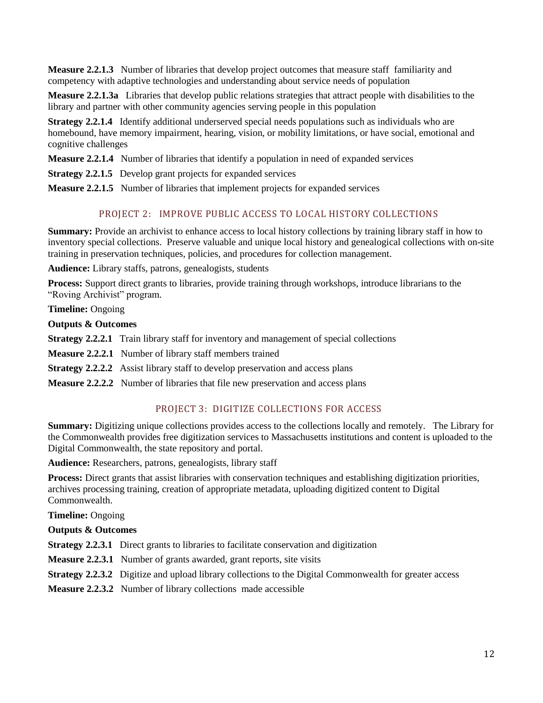**Measure 2.2.1.3** Number of libraries that develop project outcomes that measure staff familiarity and competency with adaptive technologies and understanding about service needs of population

**Measure 2.2.1.3a** Libraries that develop public relations strategies that attract people with disabilities to the library and partner with other community agencies serving people in this population

**Strategy 2.2.1.4** Identify additional underserved special needs populations such as individuals who are homebound, have memory impairment, hearing, vision, or mobility limitations, or have social, emotional and cognitive challenges

**Measure 2.2.1.4** Number of libraries that identify a population in need of expanded services

**Strategy 2.2.1.5** Develop grant projects for expanded services

**Measure 2.2.1.5** Number of libraries that implement projects for expanded services

## PROJECT 2: IMPROVE PUBLIC ACCESS TO LOCAL HISTORY COLLECTIONS

**Summary:** Provide an archivist to enhance access to local history collections by training library staff in how to inventory special collections. Preserve valuable and unique local history and genealogical collections with on-site training in preservation techniques, policies, and procedures for collection management.

**Audience:** Library staffs, patrons, genealogists, students

**Process:** Support direct grants to libraries, provide training through workshops, introduce librarians to the "Roving Archivist" program.

**Timeline:** Ongoing

**Outputs & Outcomes**

**Strategy 2.2.2.1** Train library staff for inventory and management of special collections

**Measure 2.2.2.1** Number of library staff members trained

**Strategy 2.2.2.2** Assist library staff to develop preservation and access plans

**Measure 2.2.2.2** Number of libraries that file new preservation and access plans

## PROJECT 3: DIGITIZE COLLECTIONS FOR ACCESS

**Summary:** Digitizing unique collections provides access to the collections locally and remotely. The Library for the Commonwealth provides free digitization services to Massachusetts institutions and content is uploaded to the Digital Commonwealth, the state repository and portal.

**Audience:** Researchers, patrons, genealogists, library staff

**Process:** Direct grants that assist libraries with conservation techniques and establishing digitization priorities, archives processing training, creation of appropriate metadata, uploading digitized content to Digital Commonwealth.

**Timeline:** Ongoing

## **Outputs & Outcomes**

**Strategy 2.2.3.1** Direct grants to libraries to facilitate conservation and digitization

- **Measure 2.2.3.1** Number of grants awarded, grant reports, site visits
- **Strategy 2.2.3.2** Digitize and upload library collections to the Digital Commonwealth for greater access

**Measure 2.2.3.2** Number of library collections made accessible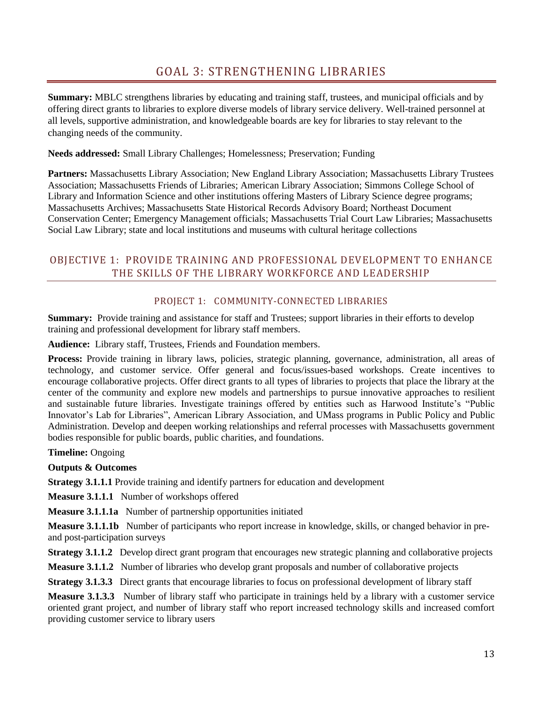**Summary:** MBLC strengthens libraries by educating and training staff, trustees, and municipal officials and by offering direct grants to libraries to explore diverse models of library service delivery. Well-trained personnel at all levels, supportive administration, and knowledgeable boards are key for libraries to stay relevant to the changing needs of the community.

**Needs addressed:** Small Library Challenges; Homelessness; Preservation; Funding

**Partners:** Massachusetts Library Association; New England Library Association; Massachusetts Library Trustees Association; Massachusetts Friends of Libraries; American Library Association; Simmons College School of Library and Information Science and other institutions offering Masters of Library Science degree programs; Massachusetts Archives; Massachusetts State Historical Records Advisory Board; Northeast Document Conservation Center; Emergency Management officials; Massachusetts Trial Court Law Libraries; Massachusetts Social Law Library; state and local institutions and museums with cultural heritage collections

# OBJECTIVE 1: PROVIDE TRAINING AND PROFESSIONAL DEVELOPMENT TO ENHANCE THE SKILLS OF THE LIBRARY WORKFORCE AND LEADERSHIP

## PROJECT 1: COMMUNITY-CONNECTED LIBRARIES

**Summary:** Provide training and assistance for staff and Trustees; support libraries in their efforts to develop training and professional development for library staff members.

**Audience:** Library staff, Trustees, Friends and Foundation members.

**Process:** Provide training in library laws, policies, strategic planning, governance, administration, all areas of technology, and customer service. Offer general and focus/issues-based workshops. Create incentives to encourage collaborative projects. Offer direct grants to all types of libraries to projects that place the library at the center of the community and explore new models and partnerships to pursue innovative approaches to resilient and sustainable future libraries. Investigate trainings offered by entities such as Harwood Institute's "Public Innovator's Lab for Libraries", American Library Association, and UMass programs in Public Policy and Public Administration. Develop and deepen working relationships and referral processes with Massachusetts government bodies responsible for public boards, public charities, and foundations.

**Timeline:** Ongoing

**Outputs & Outcomes**

**Strategy 3.1.1.1** Provide training and identify partners for education and development

**Measure 3.1.1.1** Number of workshops offered

**Measure 3.1.1.1a** Number of partnership opportunities initiated

**Measure 3.1.1.1b** Number of participants who report increase in knowledge, skills, or changed behavior in preand post-participation surveys

**Strategy 3.1.1.2** Develop direct grant program that encourages new strategic planning and collaborative projects

**Measure 3.1.1.2** Number of libraries who develop grant proposals and number of collaborative projects

**Strategy 3.1.3.3** Direct grants that encourage libraries to focus on professional development of library staff

**Measure 3.1.3.3** Number of library staff who participate in trainings held by a library with a customer service oriented grant project, and number of library staff who report increased technology skills and increased comfort providing customer service to library users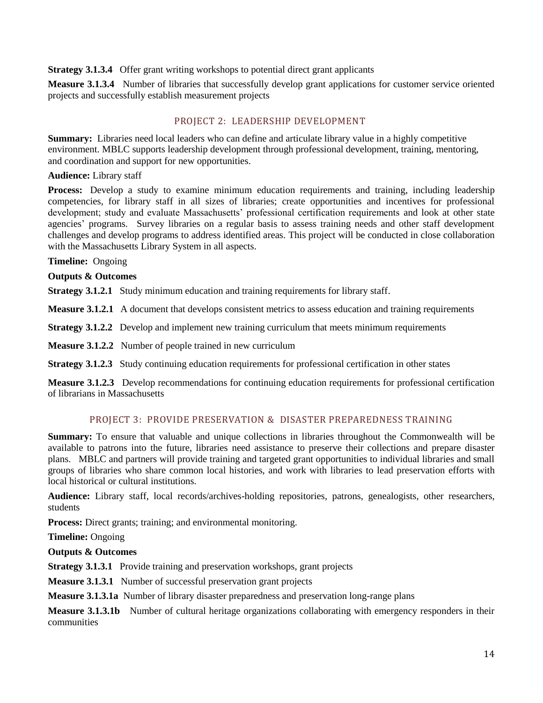#### **Strategy 3.1.3.4** Offer grant writing workshops to potential direct grant applicants

**Measure 3.1.3.4** Number of libraries that successfully develop grant applications for customer service oriented projects and successfully establish measurement projects

#### PROJECT 2: LEADERSHIP DEVELOPMENT

**Summary:** Libraries need local leaders who can define and articulate library value in a highly competitive environment. MBLC supports leadership development through professional development, training, mentoring, and coordination and support for new opportunities.

#### **Audience:** Library staff

**Process:** Develop a study to examine minimum education requirements and training, including leadership competencies, for library staff in all sizes of libraries; create opportunities and incentives for professional development; study and evaluate Massachusetts' professional certification requirements and look at other state agencies' programs. Survey libraries on a regular basis to assess training needs and other staff development challenges and develop programs to address identified areas. This project will be conducted in close collaboration with the Massachusetts Library System in all aspects.

#### **Timeline:** Ongoing

**Outputs & Outcomes**

**Strategy 3.1.2.1** Study minimum education and training requirements for library staff.

**Measure 3.1.2.1** A document that develops consistent metrics to assess education and training requirements

**Strategy 3.1.2.2** Develop and implement new training curriculum that meets minimum requirements

**Measure 3.1.2.2** Number of people trained in new curriculum

**Strategy 3.1.2.3** Study continuing education requirements for professional certification in other states

**Measure 3.1.2.3** Develop recommendations for continuing education requirements for professional certification of librarians in Massachusetts

## PROJECT 3: PROVIDE PRESERVATION & DISASTER PREPAREDNESS TRAINING

**Summary:** To ensure that valuable and unique collections in libraries throughout the Commonwealth will be available to patrons into the future, libraries need assistance to preserve their collections and prepare disaster plans. MBLC and partners will provide training and targeted grant opportunities to individual libraries and small groups of libraries who share common local histories, and work with libraries to lead preservation efforts with local historical or cultural institutions.

**Audience:** Library staff, local records/archives-holding repositories, patrons, genealogists, other researchers, students

**Process:** Direct grants; training; and environmental monitoring.

**Timeline:** Ongoing

#### **Outputs & Outcomes**

**Strategy 3.1.3.1** Provide training and preservation workshops, grant projects

**Measure 3.1.3.1** Number of successful preservation grant projects

**Measure 3.1.3.1a** Number of library disaster preparedness and preservation long-range plans

**Measure 3.1.3.1b** Number of cultural heritage organizations collaborating with emergency responders in their communities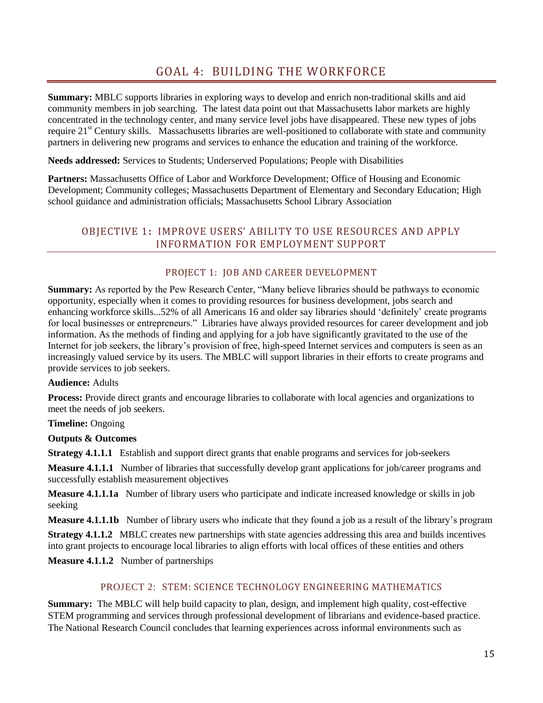# GOAL 4: BUILDING THE WORKFORCE

**Summary:** MBLC supports libraries in exploring ways to develop and enrich non-traditional skills and aid community members in job searching. The latest data point out that Massachusetts labor markets are highly concentrated in the technology center, and many service level jobs have disappeared. These new types of jobs require 21<sup>st</sup> Century skills. Massachusetts libraries are well-positioned to collaborate with state and community partners in delivering new programs and services to enhance the education and training of the workforce.

**Needs addressed:** Services to Students; Underserved Populations; People with Disabilities

**Partners:** Massachusetts Office of Labor and Workforce Development; Office of Housing and Economic Development; Community colleges; Massachusetts Department of Elementary and Secondary Education; High school guidance and administration officials; Massachusetts School Library Association

## OBJECTIVE 1**:** IMPROVE USERS' ABILITY TO USE RESOURCES AND APPLY INFORMATION FOR EMPLOYMENT SUPPORT

### PROJECT 1: JOB AND CAREER DEVELOPMENT

**Summary:** As reported by the Pew Research Center, "Many believe libraries should be pathways to economic opportunity, especially when it comes to providing resources for business development, jobs search and enhancing workforce skills...52% of all Americans 16 and older say libraries should 'definitely' create programs for local businesses or entrepreneurs." Libraries have always provided resources for career development and job information. As the methods of finding and applying for a job have significantly gravitated to the use of the Internet for job seekers, the library's provision of free, high-speed Internet services and computers is seen as an increasingly valued service by its users. The MBLC will support libraries in their efforts to create programs and provide services to job seekers.

#### **Audience:** Adults

**Process:** Provide direct grants and encourage libraries to collaborate with local agencies and organizations to meet the needs of job seekers.

#### **Timeline:** Ongoing

#### **Outputs & Outcomes**

**Strategy 4.1.1.1** Establish and support direct grants that enable programs and services for job-seekers

**Measure 4.1.1.1** Number of libraries that successfully develop grant applications for job/career programs and successfully establish measurement objectives

**Measure 4.1.1.1a** Number of library users who participate and indicate increased knowledge or skills in job seeking

**Measure 4.1.1.1b** Number of library users who indicate that they found a job as a result of the library's program

**Strategy 4.1.1.2** MBLC creates new partnerships with state agencies addressing this area and builds incentives into grant projects to encourage local libraries to align efforts with local offices of these entities and others

**Measure 4.1.1.2** Number of partnerships

#### PROJECT 2: STEM: SCIENCE TECHNOLOGY ENGINEERING MATHEMATICS

**Summary:** The MBLC will help build capacity to plan, design, and implement high quality, cost-effective STEM programming and services through professional development of librarians and evidence-based practice. The National Research Council concludes that learning experiences across informal environments such as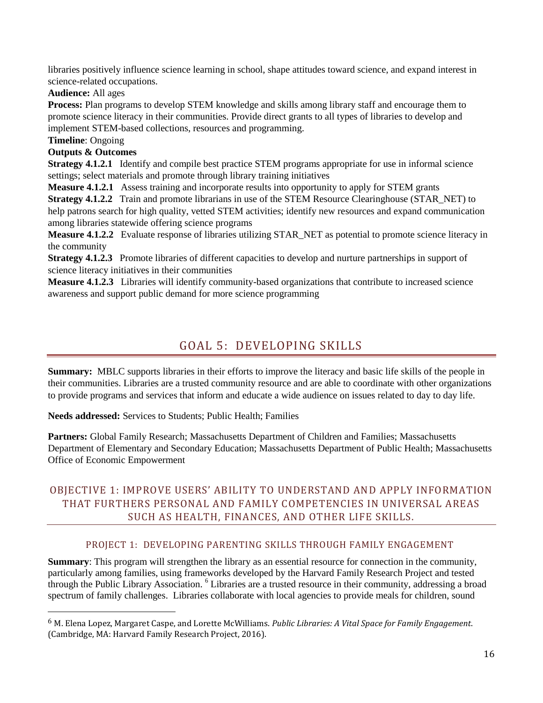libraries positively influence science learning in school, shape attitudes toward science, and expand interest in science-related occupations.

**Audience:** All ages

**Process:** Plan programs to develop STEM knowledge and skills among library staff and encourage them to promote science literacy in their communities. Provide direct grants to all types of libraries to develop and implement STEM-based collections, resources and programming.

**Timeline**: Ongoing

 $\overline{\phantom{0}}$ 

## **Outputs & Outcomes**

**Strategy 4.1.2.1** Identify and compile best practice STEM programs appropriate for use in informal science settings; select materials and promote through library training initiatives

**Measure 4.1.2.1** Assess training and incorporate results into opportunity to apply for STEM grants **Strategy 4.1.2.2** Train and promote librarians in use of the STEM Resource Clearinghouse (STAR\_NET) to help patrons search for high quality, vetted STEM activities; identify new resources and expand communication among libraries statewide offering science programs

**Measure 4.1.2.2** Evaluate response of libraries utilizing STAR\_NET as potential to promote science literacy in the community

**Strategy 4.1.2.3** Promote libraries of different capacities to develop and nurture partnerships in support of science literacy initiatives in their communities

**Measure 4.1.2.3** Libraries will identify community-based organizations that contribute to increased science awareness and support public demand for more science programming

# GOAL 5: DEVELOPING SKILLS

**Summary:** MBLC supports libraries in their efforts to improve the literacy and basic life skills of the people in their communities. Libraries are a trusted community resource and are able to coordinate with other organizations to provide programs and services that inform and educate a wide audience on issues related to day to day life.

**Needs addressed:** Services to Students; Public Health; Families

Partners: Global Family Research; Massachusetts Department of Children and Families; Massachusetts Department of Elementary and Secondary Education; Massachusetts Department of Public Health; Massachusetts Office of Economic Empowerment

# OBJECTIVE 1: IMPROVE USERS' ABILITY TO UNDERSTAND AND APPLY INFORMATION THAT FURTHERS PERSONAL AND FAMILY COMPETENCIES IN UNIVERSAL AREAS SUCH AS HEALTH, FINANCES, AND OTHER LIFE SKILLS.

## PROJECT 1: DEVELOPING PARENTING SKILLS THROUGH FAMILY ENGAGEMENT

**Summary**: This program will strengthen the library as an essential resource for connection in the community, particularly among families, using frameworks developed by the Harvard Family Research Project and tested through the Public Library Association. <sup>6</sup> Libraries are a trusted resource in their community, addressing a broad spectrum of family challenges. Libraries collaborate with local agencies to provide meals for children, sound

<sup>6</sup> M. Elena Lopez, Margaret Caspe, and Lorette McWilliams. *Public Libraries: A Vital Space for Family Engagement*. (Cambridge, MA: Harvard Family Research Project, 2016).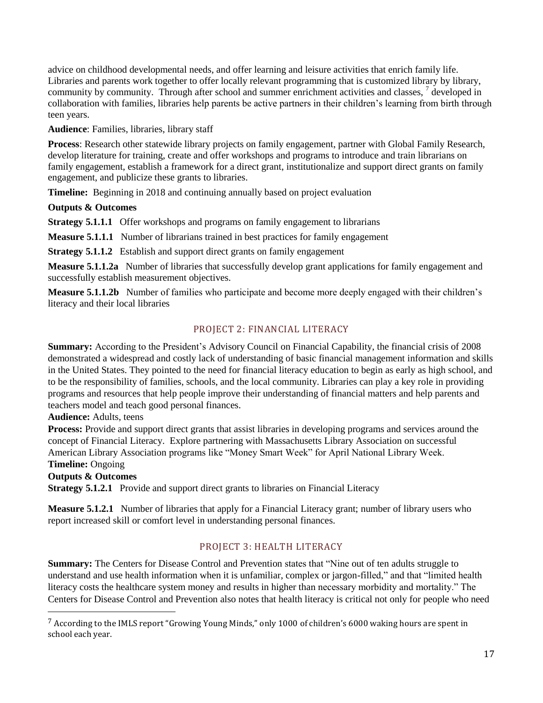advice on childhood developmental needs, and offer learning and leisure activities that enrich family life. Libraries and parents work together to offer locally relevant programming that is customized library by library, community by community. Through after school and summer enrichment activities and classes, <sup>7</sup> developed in collaboration with families, libraries help parents be active partners in their children's learning from birth through teen years.

**Audience**: Families, libraries, library staff

**Process**: Research other statewide library projects on family engagement, partner with Global Family Research, develop literature for training, create and offer workshops and programs to introduce and train librarians on family engagement, establish a framework for a direct grant, institutionalize and support direct grants on family engagement, and publicize these grants to libraries.

**Timeline:** Beginning in 2018 and continuing annually based on project evaluation

### **Outputs & Outcomes**

**Strategy 5.1.1.1** Offer workshops and programs on family engagement to librarians

**Measure 5.1.1.1** Number of librarians trained in best practices for family engagement

**Strategy 5.1.1.2** Establish and support direct grants on family engagement

**Measure 5.1.1.2a** Number of libraries that successfully develop grant applications for family engagement and successfully establish measurement objectives.

**Measure 5.1.1.2b** Number of families who participate and become more deeply engaged with their children's literacy and their local libraries

## PROJECT 2: FINANCIAL LITERACY

**Summary:** According to the President's Advisory Council on Financial Capability, the financial crisis of 2008 demonstrated a widespread and costly lack of understanding of basic financial management information and skills in the United States. They pointed to the need for financial literacy education to begin as early as high school, and to be the responsibility of families, schools, and the local community. Libraries can play a key role in providing programs and resources that help people improve their understanding of financial matters and help parents and teachers model and teach good personal finances.

**Audience:** Adults, teens

**Process:** Provide and support direct grants that assist libraries in developing programs and services around the concept of Financial Literacy. Explore partnering with Massachusetts Library Association on successful American Library Association programs like "Money Smart Week" for April National Library Week. **Timeline:** Ongoing

#### **Outputs & Outcomes**

 $\overline{\phantom{0}}$ 

**Strategy 5.1.2.1** Provide and support direct grants to libraries on Financial Literacy

**Measure 5.1.2.1** Number of libraries that apply for a Financial Literacy grant; number of library users who report increased skill or comfort level in understanding personal finances.

## PROJECT 3: HEALTH LITERACY

**Summary:** The Centers for Disease Control and Prevention states that "Nine out of ten adults struggle to understand and use health information when it is unfamiliar, complex or jargon-filled," and that "limited health literacy costs the healthcare system money and results in higher than necessary morbidity and mortality." The Centers for Disease Control and Prevention also notes that health literacy is critical not only for people who need

<sup>7</sup> According to the IMLS report "Growing Young Minds," only 1000 of children's 6000 waking hours are spent in school each year.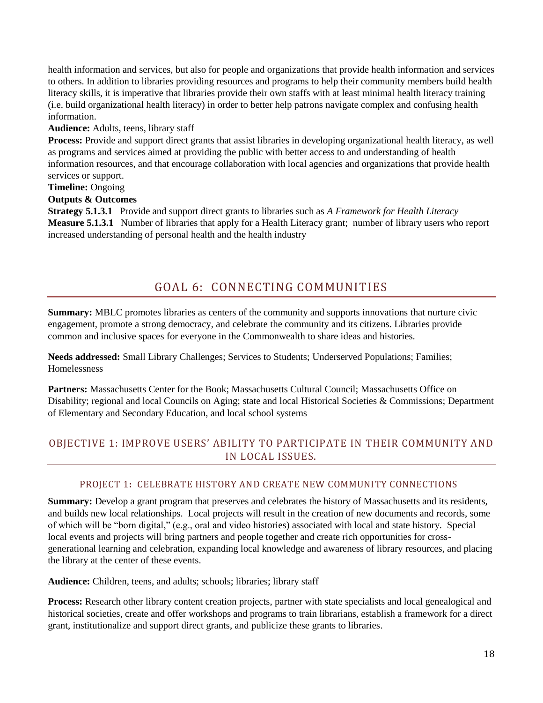health information and services, but also for people and organizations that provide health information and services to others. In addition to libraries providing resources and programs to help their community members build health literacy skills, it is imperative that libraries provide their own staffs with at least minimal health literacy training (i.e. build organizational health literacy) in order to better help patrons navigate complex and confusing health information.

#### **Audience:** Adults, teens, library staff

**Process:** Provide and support direct grants that assist libraries in developing organizational health literacy, as well as programs and services aimed at providing the public with better access to and understanding of health information resources, and that encourage collaboration with local agencies and organizations that provide health services or support.

#### **Timeline:** Ongoing

### **Outputs & Outcomes**

**Strategy 5.1.3.1** Provide and support direct grants to libraries such as *A Framework for Health Literacy* **Measure 5.1.3.1** Number of libraries that apply for a Health Literacy grant; number of library users who report increased understanding of personal health and the health industry

# GOAL 6: CONNECTING COMMUNITIES

**Summary:** MBLC promotes libraries as centers of the community and supports innovations that nurture civic engagement, promote a strong democracy, and celebrate the community and its citizens. Libraries provide common and inclusive spaces for everyone in the Commonwealth to share ideas and histories.

**Needs addressed:** Small Library Challenges; Services to Students; Underserved Populations; Families; Homelessness

**Partners:** Massachusetts Center for the Book; Massachusetts Cultural Council; Massachusetts Office on Disability; regional and local Councils on Aging; state and local Historical Societies & Commissions; Department of Elementary and Secondary Education, and local school systems

# OBJECTIVE 1: IMPROVE USERS' ABILITY TO PARTICIPATE IN THEIR COMMUNITY AND IN LOCAL ISSUES.

## PROJECT 1**:** CELEBRATE HISTORY AND CREATE NEW COMMUNITY CONNECTIONS

**Summary:** Develop a grant program that preserves and celebrates the history of Massachusetts and its residents, and builds new local relationships. Local projects will result in the creation of new documents and records, some of which will be "born digital," (e.g., oral and video histories) associated with local and state history. Special local events and projects will bring partners and people together and create rich opportunities for crossgenerational learning and celebration, expanding local knowledge and awareness of library resources, and placing the library at the center of these events.

**Audience:** Children, teens, and adults; schools; libraries; library staff

**Process:** Research other library content creation projects, partner with state specialists and local genealogical and historical societies, create and offer workshops and programs to train librarians, establish a framework for a direct grant, institutionalize and support direct grants, and publicize these grants to libraries.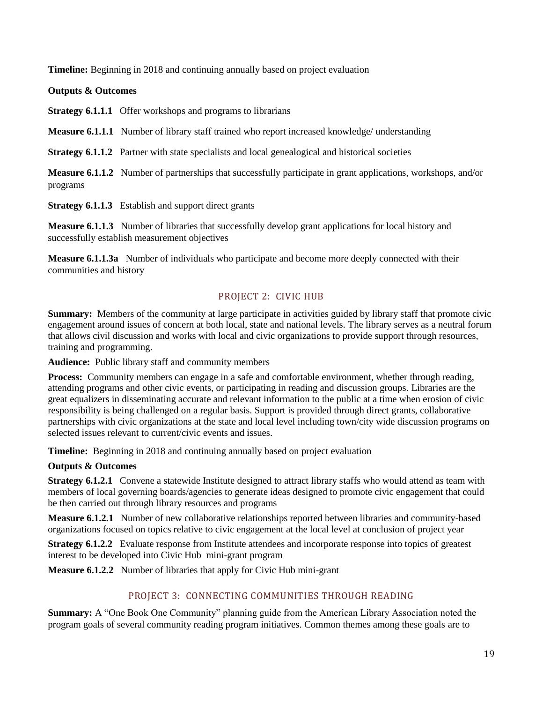**Timeline:** Beginning in 2018 and continuing annually based on project evaluation

### **Outputs & Outcomes**

**Strategy 6.1.1.1** Offer workshops and programs to librarians

**Measure 6.1.1.1** Number of library staff trained who report increased knowledge/ understanding

**Strategy 6.1.1.2** Partner with state specialists and local genealogical and historical societies

**Measure 6.1.1.2** Number of partnerships that successfully participate in grant applications, workshops, and/or programs

**Strategy 6.1.1.3** Establish and support direct grants

**Measure 6.1.1.3** Number of libraries that successfully develop grant applications for local history and successfully establish measurement objectives

**Measure 6.1.1.3a** Number of individuals who participate and become more deeply connected with their communities and history

## PROJECT 2: CIVIC HUB

**Summary:** Members of the community at large participate in activities guided by library staff that promote civic engagement around issues of concern at both local, state and national levels. The library serves as a neutral forum that allows civil discussion and works with local and civic organizations to provide support through resources, training and programming.

**Audience:** Public library staff and community members

**Process:** Community members can engage in a safe and comfortable environment, whether through reading, attending programs and other civic events, or participating in reading and discussion groups. Libraries are the great equalizers in disseminating accurate and relevant information to the public at a time when erosion of civic responsibility is being challenged on a regular basis. Support is provided through direct grants, collaborative partnerships with civic organizations at the state and local level including town/city wide discussion programs on selected issues relevant to current/civic events and issues.

**Timeline:** Beginning in 2018 and continuing annually based on project evaluation

## **Outputs & Outcomes**

**Strategy 6.1.2.1** Convene a statewide Institute designed to attract library staffs who would attend as team with members of local governing boards/agencies to generate ideas designed to promote civic engagement that could be then carried out through library resources and programs

**Measure 6.1.2.1** Number of new collaborative relationships reported between libraries and community-based organizations focused on topics relative to civic engagement at the local level at conclusion of project year

**Strategy 6.1.2.2** Evaluate response from Institute attendees and incorporate response into topics of greatest interest to be developed into Civic Hub mini-grant program

**Measure 6.1.2.2** Number of libraries that apply for Civic Hub mini-grant

## PROJECT 3: CONNECTING COMMUNITIES THROUGH READING

**Summary:** A "One Book One Community" planning guide from the American Library Association noted the program goals of several community reading program initiatives. Common themes among these goals are to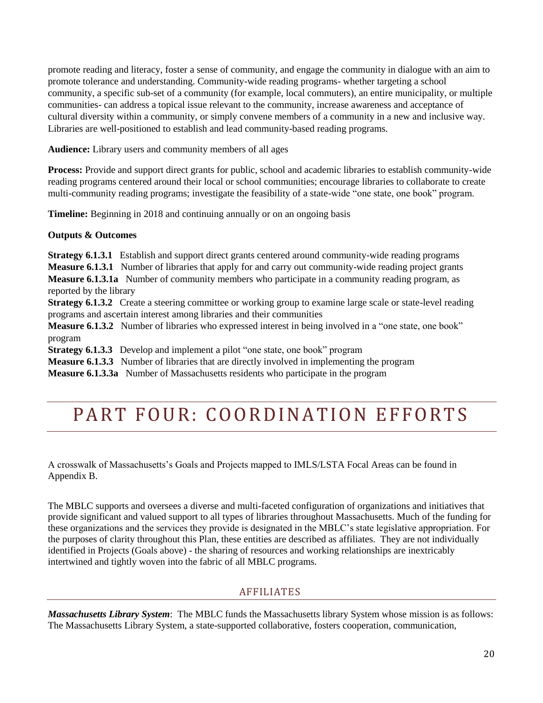promote reading and literacy, foster a sense of community, and engage the community in dialogue with an aim to promote tolerance and understanding. Community-wide reading programs- whether targeting a school community, a specific sub-set of a community (for example, local commuters), an entire municipality, or multiple communities- can address a topical issue relevant to the community, increase awareness and acceptance of cultural diversity within a community, or simply convene members of a community in a new and inclusive way. Libraries are well-positioned to establish and lead community-based reading programs.

**Audience:** Library users and community members of all ages

**Process:** Provide and support direct grants for public, school and academic libraries to establish community-wide reading programs centered around their local or school communities; encourage libraries to collaborate to create multi-community reading programs; investigate the feasibility of a state-wide "one state, one book" program.

**Timeline:** Beginning in 2018 and continuing annually or on an ongoing basis

## **Outputs & Outcomes**

**Strategy 6.1.3.1** Establish and support direct grants centered around community-wide reading programs **Measure 6.1.3.1** Number of libraries that apply for and carry out community-wide reading project grants **Measure 6.1.3.1a** Number of community members who participate in a community reading program, as reported by the library

**Strategy 6.1.3.2** Create a steering committee or working group to examine large scale or state-level reading programs and ascertain interest among libraries and their communities

**Measure 6.1.3.2** Number of libraries who expressed interest in being involved in a "one state, one book" program

**Strategy 6.1.3.3** Develop and implement a pilot "one state, one book" program

**Measure 6.1.3.3** Number of libraries that are directly involved in implementing the program

**Measure 6.1.3.3a** Number of Massachusetts residents who participate in the program

# PART FOUR: COORDINATION EFFORTS

A crosswalk of Massachusetts's Goals and Projects mapped to IMLS/LSTA Focal Areas can be found in Appendix B.

The MBLC supports and oversees a diverse and multi-faceted configuration of organizations and initiatives that provide significant and valued support to all types of libraries throughout Massachusetts. Much of the funding for these organizations and the services they provide is designated in the MBLC's state legislative appropriation. For the purposes of clarity throughout this Plan, these entities are described as affiliates. They are not individually identified in Projects (Goals above) - the sharing of resources and working relationships are inextricably intertwined and tightly woven into the fabric of all MBLC programs.

## **AFFILIATES**

*Massachusetts Library System*: The MBLC funds the Massachusetts library System whose mission is as follows: The Massachusetts Library System, a state-supported collaborative, fosters cooperation, communication,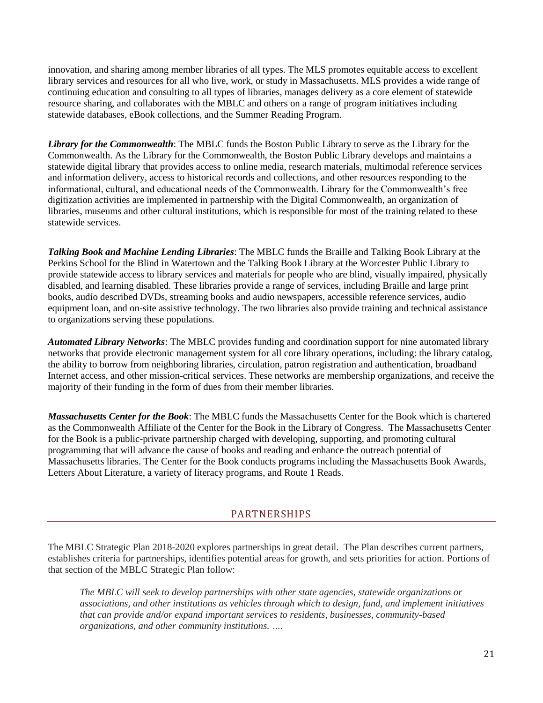innovation, and sharing among member libraries of all types. The MLS promotes equitable access to excellent library services and resources for all who live, work, or study in Massachusetts. MLS provides a wide range of continuing education and consulting to all types of libraries, manages delivery as a core element of statewide resource sharing, and collaborates with the MBLC and others on a range of program initiatives including statewide databases, eBook collections, and the Summer Reading Program.

*Library for the Commonwealth*: The MBLC funds the Boston Public Library to serve as the Library for the Commonwealth. As the Library for the Commonwealth, the Boston Public Library develops and maintains a statewide digital library that provides access to online media, research materials, multimodal reference services and information delivery, access to historical records and collections, and other resources responding to the informational, cultural, and educational needs of the Commonwealth. Library for the Commonwealth's free digitization activities are implemented in partnership with the Digital Commonwealth, an organization of libraries, museums and other cultural institutions, which is responsible for most of the training related to these statewide services.

*Talking Book and Machine Lending Libraries*: The MBLC funds the [Braille and Talking Book Library](http://www.perkins.org/btbl/) at the Perkins School for the Blind in Watertown and the Talking Book Library at the Worcester Public Library to provide statewide access to library services and materials for people who are blind, visually impaired, physically disabled, and learning disabled. These libraries provide a range of services, including Braille and large print books, audio described DVDs, streaming books and audio newspapers, accessible reference services, audio equipment loan, and on-site assistive technology. The two libraries also provide training and technical assistance to organizations serving these populations.

*Automated Library Networks*: The MBLC provides funding and coordination support for nine automated library networks that provide electronic management system for all core library operations, including: the library catalog, the ability to borrow from neighboring libraries, circulation, patron registration and authentication, broadband Internet access, and other mission-critical services. These networks are membership organizations, and receive the majority of their funding in the form of dues from their member libraries.

*Massachusetts Center for the Book*: The MBLC funds the Massachusetts Center for the Book which is chartered as the Commonwealth Affiliate of the Center for the Book in the Library of Congress. The Massachusetts Center for the Book is a public-private partnership charged with developing, supporting, and promoting cultural programming that will advance the cause of books and reading and enhance the outreach potential of Massachusetts libraries. The Center for the Book conducts programs including the Massachusetts Book Awards, Letters About Literature, a variety of literacy programs, and Route 1 Reads.

## PARTNERSHIPS

The MBLC Strategic Plan 2018-2020 explores partnerships in great detail. The Plan describes current partners, establishes criteria for partnerships, identifies potential areas for growth, and sets priorities for action. Portions of that section of the MBLC Strategic Plan follow:

*The MBLC will seek to develop partnerships with other state agencies, statewide organizations or associations, and other institutions as vehicles through which to design, fund, and implement initiatives that can provide and/or expand important services to residents, businesses, community-based organizations, and other community institutions. ….*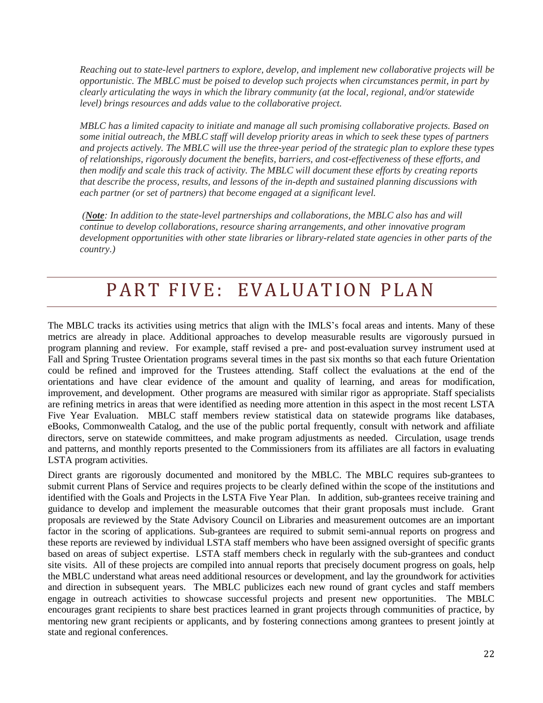*Reaching out to state-level partners to explore, develop, and implement new collaborative projects will be opportunistic. The MBLC must be poised to develop such projects when circumstances permit, in part by clearly articulating the ways in which the library community (at the local, regional, and/or statewide level) brings resources and adds value to the collaborative project.*

*MBLC has a limited capacity to initiate and manage all such promising collaborative projects. Based on some initial outreach, the MBLC staff will develop priority areas in which to seek these types of partners and projects actively. The MBLC will use the three-year period of the strategic plan to explore these types of relationships, rigorously document the benefits, barriers, and cost-effectiveness of these efforts, and then modify and scale this track of activity. The MBLC will document these efforts by creating reports that describe the process, results, and lessons of the in-depth and sustained planning discussions with each partner (or set of partners) that become engaged at a significant level.*

*(Note: In addition to the state-level partnerships and collaborations, the MBLC also has and will continue to develop collaborations, resource sharing arrangements, and other innovative program development opportunities with other state libraries or library-related state agencies in other parts of the country.)*

# PART FIVE: EVALUATION PLAN

The MBLC tracks its activities using metrics that align with the IMLS's focal areas and intents. Many of these metrics are already in place. Additional approaches to develop measurable results are vigorously pursued in program planning and review. For example, staff revised a pre- and post-evaluation survey instrument used at Fall and Spring Trustee Orientation programs several times in the past six months so that each future Orientation could be refined and improved for the Trustees attending. Staff collect the evaluations at the end of the orientations and have clear evidence of the amount and quality of learning, and areas for modification, improvement, and development. Other programs are measured with similar rigor as appropriate. Staff specialists are refining metrics in areas that were identified as needing more attention in this aspect in the most recent LSTA Five Year Evaluation. MBLC staff members review statistical data on statewide programs like databases, eBooks, Commonwealth Catalog, and the use of the public portal frequently, consult with network and affiliate directors, serve on statewide committees, and make program adjustments as needed. Circulation, usage trends and patterns, and monthly reports presented to the Commissioners from its affiliates are all factors in evaluating LSTA program activities.

Direct grants are rigorously documented and monitored by the MBLC. The MBLC requires sub-grantees to submit current Plans of Service and requires projects to be clearly defined within the scope of the institutions and identified with the Goals and Projects in the LSTA Five Year Plan. In addition, sub-grantees receive training and guidance to develop and implement the measurable outcomes that their grant proposals must include. Grant proposals are reviewed by the State Advisory Council on Libraries and measurement outcomes are an important factor in the scoring of applications. Sub-grantees are required to submit semi-annual reports on progress and these reports are reviewed by individual LSTA staff members who have been assigned oversight of specific grants based on areas of subject expertise. LSTA staff members check in regularly with the sub-grantees and conduct site visits. All of these projects are compiled into annual reports that precisely document progress on goals, help the MBLC understand what areas need additional resources or development, and lay the groundwork for activities and direction in subsequent years. The MBLC publicizes each new round of grant cycles and staff members engage in outreach activities to showcase successful projects and present new opportunities. The MBLC encourages grant recipients to share best practices learned in grant projects through communities of practice, by mentoring new grant recipients or applicants, and by fostering connections among grantees to present jointly at state and regional conferences.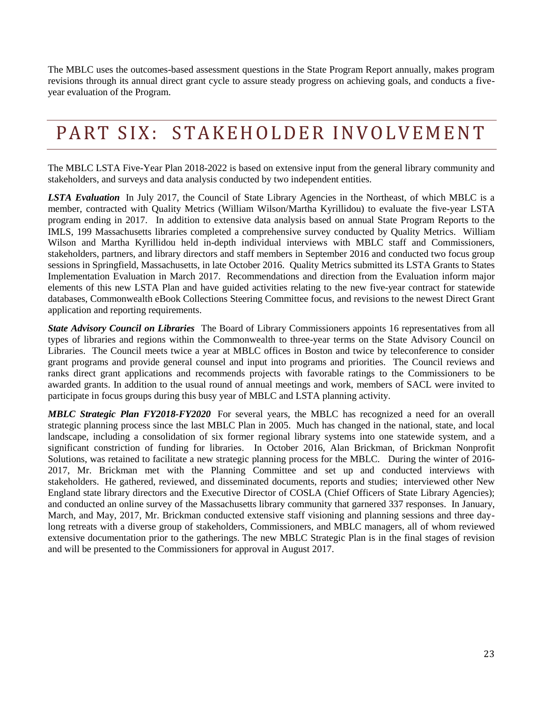The MBLC uses the outcomes-based assessment questions in the State Program Report annually, makes program revisions through its annual direct grant cycle to assure steady progress on achieving goals, and conducts a fiveyear evaluation of the Program.

# PART SIX: STAKEHOLDER INVOLVEMENT

The MBLC LSTA Five-Year Plan 2018-2022 is based on extensive input from the general library community and stakeholders, and surveys and data analysis conducted by two independent entities.

*LSTA Evaluation* In July 2017, the Council of State Library Agencies in the Northeast, of which MBLC is a member, contracted with Quality Metrics (William Wilson/Martha Kyrillidou) to evaluate the five-year LSTA program ending in 2017. In addition to extensive data analysis based on annual State Program Reports to the IMLS, 199 Massachusetts libraries completed a comprehensive survey conducted by Quality Metrics. William Wilson and Martha Kyrillidou held in-depth individual interviews with MBLC staff and Commissioners, stakeholders, partners, and library directors and staff members in September 2016 and conducted two focus group sessions in Springfield, Massachusetts, in late October 2016. Quality Metrics submitted its LSTA Grants to States Implementation Evaluation in March 2017. Recommendations and direction from the Evaluation inform major elements of this new LSTA Plan and have guided activities relating to the new five-year contract for statewide databases, Commonwealth eBook Collections Steering Committee focus, and revisions to the newest Direct Grant application and reporting requirements.

*State Advisory Council on Libraries*The Board of Library Commissioners appoints 16 representatives from all types of libraries and regions within the Commonwealth to three-year terms on the State Advisory Council on Libraries. The Council meets twice a year at MBLC offices in Boston and twice by teleconference to consider grant programs and provide general counsel and input into programs and priorities. The Council reviews and ranks direct grant applications and recommends projects with favorable ratings to the Commissioners to be awarded grants. In addition to the usual round of annual meetings and work, members of SACL were invited to participate in focus groups during this busy year of MBLC and LSTA planning activity.

*MBLC Strategic Plan FY2018-FY2020* For several years, the MBLC has recognized a need for an overall strategic planning process since the last MBLC Plan in 2005. Much has changed in the national, state, and local landscape, including a consolidation of six former regional library systems into one statewide system, and a significant constriction of funding for libraries. In October 2016, Alan Brickman, of Brickman Nonprofit Solutions, was retained to facilitate a new strategic planning process for the MBLC. During the winter of 2016- 2017, Mr. Brickman met with the Planning Committee and set up and conducted interviews with stakeholders. He gathered, reviewed, and disseminated documents, reports and studies; interviewed other New England state library directors and the Executive Director of COSLA (Chief Officers of State Library Agencies); and conducted an online survey of the Massachusetts library community that garnered 337 responses. In January, March, and May, 2017, Mr. Brickman conducted extensive staff visioning and planning sessions and three daylong retreats with a diverse group of stakeholders, Commissioners, and MBLC managers, all of whom reviewed extensive documentation prior to the gatherings. The new MBLC Strategic Plan is in the final stages of revision and will be presented to the Commissioners for approval in August 2017.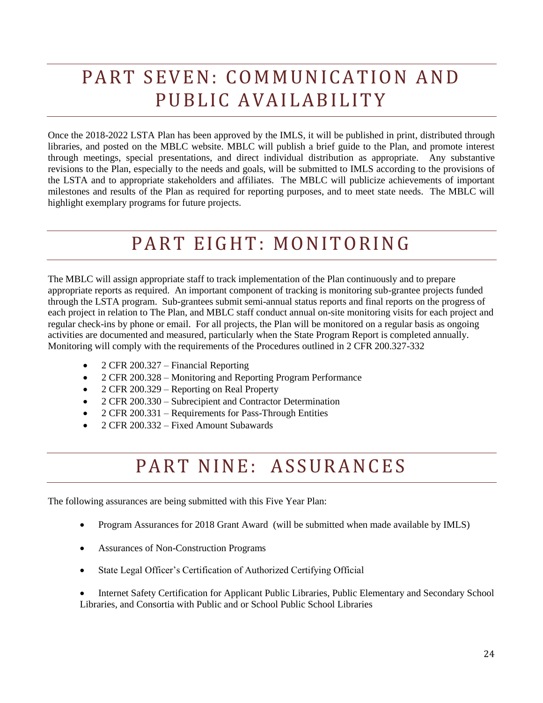# PART SEVEN: COMMUNICATION AND PUBLIC AVAILABILITY

Once the 2018-2022 LSTA Plan has been approved by the IMLS, it will be published in print, distributed through libraries, and posted on the MBLC website. MBLC will publish a brief guide to the Plan, and promote interest through meetings, special presentations, and direct individual distribution as appropriate. Any substantive revisions to the Plan, especially to the needs and goals, will be submitted to IMLS according to the provisions of the LSTA and to appropriate stakeholders and affiliates. The MBLC will publicize achievements of important milestones and results of the Plan as required for reporting purposes, and to meet state needs. The MBLC will highlight exemplary programs for future projects.

# PART EIGHT: MONITORING

The MBLC will assign appropriate staff to track implementation of the Plan continuously and to prepare appropriate reports as required. An important component of tracking is monitoring sub-grantee projects funded through the LSTA program. Sub-grantees submit semi-annual status reports and final reports on the progress of each project in relation to The Plan, and MBLC staff conduct annual on-site monitoring visits for each project and regular check-ins by phone or email. For all projects, the Plan will be monitored on a regular basis as ongoing activities are documented and measured, particularly when the State Program Report is completed annually. Monitoring will comply with the requirements of the Procedures outlined in 2 CFR 200.327-332

- 2 CFR 200.327 Financial Reporting
- 2 CFR 200.328 Monitoring and Reporting Program Performance
- 2 CFR 200.329 Reporting on Real Property
- 2 CFR 200.330 Subrecipient and Contractor Determination
- 2 CFR 200.331 Requirements for Pass-Through Entities
- 2 CFR 200.332 Fixed Amount Subawards

# PART NINE: ASSURANCES

The following assurances are being submitted with this Five Year Plan:

- Program Assurances for 2018 Grant Award (will be submitted when made available by IMLS)
- Assurances of Non-Construction Programs
- State Legal Officer's Certification of Authorized Certifying Official

 Internet Safety Certification for Applicant Public Libraries, Public Elementary and Secondary School Libraries, and Consortia with Public and or School Public School Libraries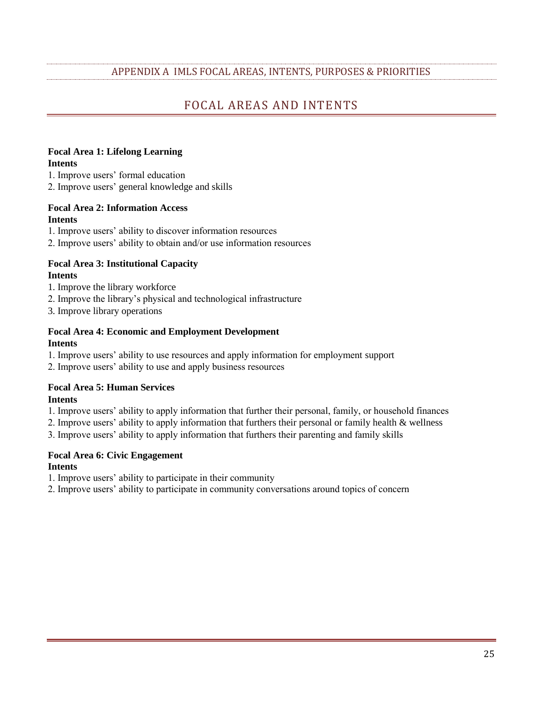## APPENDIX A IMLS FOCAL AREAS, INTENTS, PURPOSES & PRIORITIES

# FOCAL AREAS AND INTENTS

#### **Focal Area 1: Lifelong Learning Intents**

1. Improve users' formal education

2. Improve users' general knowledge and skills

#### **Focal Area 2: Information Access Intents**

1. Improve users' ability to discover information resources

2. Improve users' ability to obtain and/or use information resources

#### **Focal Area 3: Institutional Capacity Intents**

- 1. Improve the library workforce
- 2. Improve the library's physical and technological infrastructure
- 3. Improve library operations

#### **Focal Area 4: Economic and Employment Development Intents**

- 1. Improve users' ability to use resources and apply information for employment support
- 2. Improve users' ability to use and apply business resources

# **Focal Area 5: Human Services**

#### **Intents**

- 1. Improve users' ability to apply information that further their personal, family, or household finances
- 2. Improve users' ability to apply information that furthers their personal or family health & wellness
- 3. Improve users' ability to apply information that furthers their parenting and family skills

## **Focal Area 6: Civic Engagement**

#### **Intents**

1. Improve users' ability to participate in their community

2. Improve users' ability to participate in community conversations around topics of concern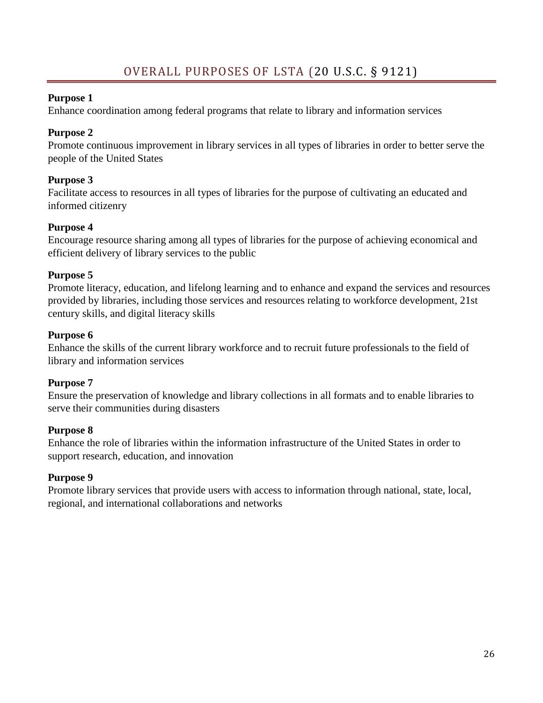# **Purpose 1**

Enhance coordination among federal programs that relate to library and information services

# **Purpose 2**

Promote continuous improvement in library services in all types of libraries in order to better serve the people of the United States

# **Purpose 3**

Facilitate access to resources in all types of libraries for the purpose of cultivating an educated and informed citizenry

# **Purpose 4**

Encourage resource sharing among all types of libraries for the purpose of achieving economical and efficient delivery of library services to the public

# **Purpose 5**

Promote literacy, education, and lifelong learning and to enhance and expand the services and resources provided by libraries, including those services and resources relating to workforce development, 21st century skills, and digital literacy skills

# **Purpose 6**

Enhance the skills of the current library workforce and to recruit future professionals to the field of library and information services

# **Purpose 7**

Ensure the preservation of knowledge and library collections in all formats and to enable libraries to serve their communities during disasters

# **Purpose 8**

Enhance the role of libraries within the information infrastructure of the United States in order to support research, education, and innovation

# **Purpose 9**

Promote library services that provide users with access to information through national, state, local, regional, and international collaborations and networks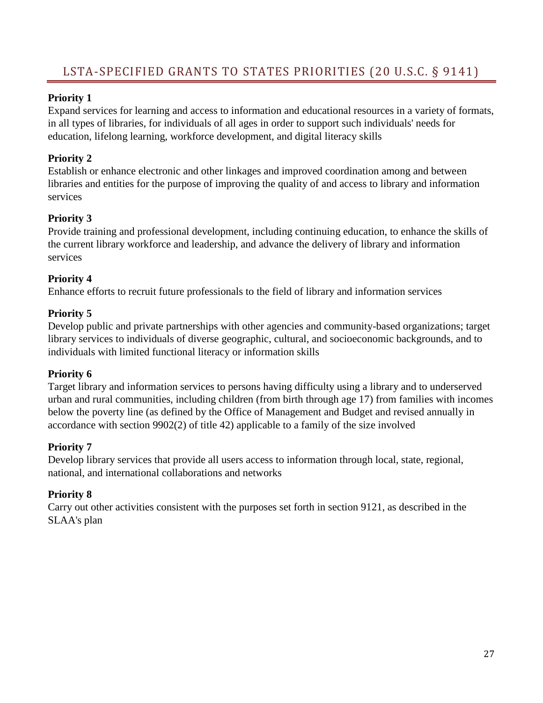# **Priority 1**

Expand services for learning and access to information and educational resources in a variety of formats, in all types of libraries, for individuals of all ages in order to support such individuals' needs for education, lifelong learning, workforce development, and digital literacy skills

# **Priority 2**

Establish or enhance electronic and other linkages and improved coordination among and between libraries and entities for the purpose of improving the quality of and access to library and information services

# **Priority 3**

Provide training and professional development, including continuing education, to enhance the skills of the current library workforce and leadership, and advance the delivery of library and information services

# **Priority 4**

Enhance efforts to recruit future professionals to the field of library and information services

# **Priority 5**

Develop public and private partnerships with other agencies and community-based organizations; target library services to individuals of diverse geographic, cultural, and socioeconomic backgrounds, and to individuals with limited functional literacy or information skills

# **Priority 6**

Target library and information services to persons having difficulty using a library and to underserved urban and rural communities, including children (from birth through age 17) from families with incomes below the poverty line (as defined by the Office of Management and Budget and revised annually in accordance with section 9902(2) of title 42) applicable to a family of the size involved

# **Priority 7**

Develop library services that provide all users access to information through local, state, regional, national, and international collaborations and networks

# **Priority 8**

Carry out other activities consistent with the purposes set forth in section 9121, as described in the SLAA's plan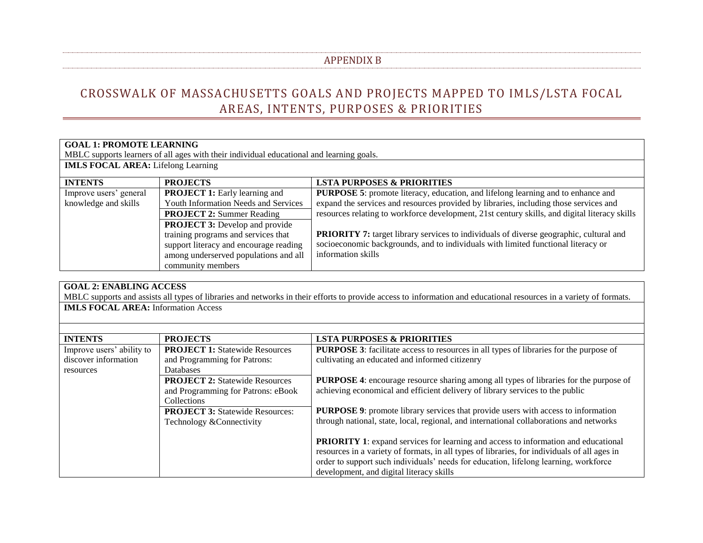## APPENDIX B

# CROSSWALK OF MASSACHUSETTS GOALS AND PROJECTS MAPPED TO IMLS/LSTA FOCAL AREAS, INTENTS, PURPOSES & PRIORITIES

| <b>GOAL 1: PROMOTE LEARNING</b>                                                          |                                                                                                                                                                                                                                                                                     |                                                                                                                                                                                                                                                                                                                                                                                                                                                                                               |
|------------------------------------------------------------------------------------------|-------------------------------------------------------------------------------------------------------------------------------------------------------------------------------------------------------------------------------------------------------------------------------------|-----------------------------------------------------------------------------------------------------------------------------------------------------------------------------------------------------------------------------------------------------------------------------------------------------------------------------------------------------------------------------------------------------------------------------------------------------------------------------------------------|
| MBLC supports learners of all ages with their individual educational and learning goals. |                                                                                                                                                                                                                                                                                     |                                                                                                                                                                                                                                                                                                                                                                                                                                                                                               |
| <b>IMLS FOCAL AREA:</b> Lifelong Learning                                                |                                                                                                                                                                                                                                                                                     |                                                                                                                                                                                                                                                                                                                                                                                                                                                                                               |
| <b>INTENTS</b>                                                                           | <b>PROJECTS</b>                                                                                                                                                                                                                                                                     | <b>LSTA PURPOSES &amp; PRIORITIES</b>                                                                                                                                                                                                                                                                                                                                                                                                                                                         |
| Improve users' general<br>knowledge and skills                                           | <b>PROJECT 1:</b> Early learning and<br>Youth Information Needs and Services<br><b>PROJECT 2: Summer Reading</b><br><b>PROJECT 3:</b> Develop and provide<br>training programs and services that<br>support literacy and encourage reading<br>among underserved populations and all | <b>PURPOSE 5:</b> promote literacy, education, and lifelong learning and to enhance and<br>expand the services and resources provided by libraries, including those services and<br>resources relating to workforce development, 21st century skills, and digital literacy skills<br><b>PRIORITY 7:</b> target library services to individuals of diverse geographic, cultural and<br>socioeconomic backgrounds, and to individuals with limited functional literacy or<br>information skills |
|                                                                                          | community members                                                                                                                                                                                                                                                                   |                                                                                                                                                                                                                                                                                                                                                                                                                                                                                               |

| <b>GOAL 2: ENABLING ACCESS</b>             |                                        |                                                                                                                                                                    |  |
|--------------------------------------------|----------------------------------------|--------------------------------------------------------------------------------------------------------------------------------------------------------------------|--|
|                                            |                                        | MBLC supports and assists all types of libraries and networks in their efforts to provide access to information and educational resources in a variety of formats. |  |
| <b>IMLS FOCAL AREA:</b> Information Access |                                        |                                                                                                                                                                    |  |
|                                            |                                        |                                                                                                                                                                    |  |
|                                            |                                        |                                                                                                                                                                    |  |
| <b>INTENTS</b>                             | <b>PROJECTS</b>                        | <b>LSTA PURPOSES &amp; PRIORITIES</b>                                                                                                                              |  |
| Improve users' ability to                  | <b>PROJECT 1:</b> Statewide Resources  | PURPOSE 3: facilitate access to resources in all types of libraries for the purpose of                                                                             |  |
| discover information                       | and Programming for Patrons:           | cultivating an educated and informed citizenry                                                                                                                     |  |
| resources                                  | <b>Databases</b>                       |                                                                                                                                                                    |  |
|                                            | <b>PROJECT 2: Statewide Resources</b>  | <b>PURPOSE 4:</b> encourage resource sharing among all types of libraries for the purpose of                                                                       |  |
|                                            | and Programming for Patrons: eBook     | achieving economical and efficient delivery of library services to the public                                                                                      |  |
|                                            | Collections                            |                                                                                                                                                                    |  |
|                                            | <b>PROJECT 3:</b> Statewide Resources: | <b>PURPOSE 9:</b> promote library services that provide users with access to information                                                                           |  |
|                                            | Technology & Connectivity              | through national, state, local, regional, and international collaborations and networks                                                                            |  |
|                                            |                                        |                                                                                                                                                                    |  |
|                                            |                                        | <b>PRIORITY 1:</b> expand services for learning and access to information and educational                                                                          |  |
|                                            |                                        | resources in a variety of formats, in all types of libraries, for individuals of all ages in                                                                       |  |
|                                            |                                        | order to support such individuals' needs for education, lifelong learning, workforce                                                                               |  |
|                                            |                                        | development, and digital literacy skills                                                                                                                           |  |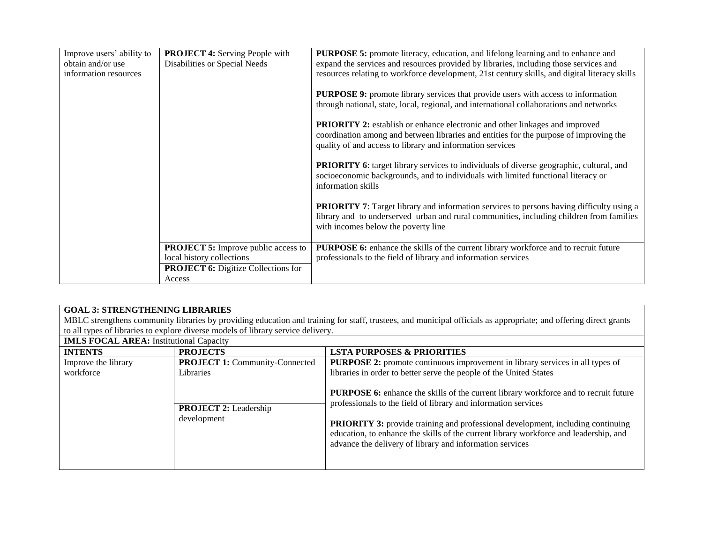| Improve users' ability to | <b>PROJECT 4: Serving People with</b>      | <b>PURPOSE 5:</b> promote literacy, education, and lifelong learning and to enhance and         |
|---------------------------|--------------------------------------------|-------------------------------------------------------------------------------------------------|
| obtain and/or use         | Disabilities or Special Needs              | expand the services and resources provided by libraries, including those services and           |
| information resources     |                                            | resources relating to workforce development, 21st century skills, and digital literacy skills   |
|                           |                                            |                                                                                                 |
|                           |                                            | PURPOSE 9: promote library services that provide users with access to information               |
|                           |                                            | through national, state, local, regional, and international collaborations and networks         |
|                           |                                            |                                                                                                 |
|                           |                                            | <b>PRIORITY 2:</b> establish or enhance electronic and other linkages and improved              |
|                           |                                            | coordination among and between libraries and entities for the purpose of improving the          |
|                           |                                            | quality of and access to library and information services                                       |
|                           |                                            | <b>PRIORITY 6:</b> target library services to individuals of diverse geographic, cultural, and  |
|                           |                                            | socioeconomic backgrounds, and to individuals with limited functional literacy or               |
|                           |                                            | information skills                                                                              |
|                           |                                            |                                                                                                 |
|                           |                                            | <b>PRIORITY</b> 7: Target library and information services to persons having difficulty using a |
|                           |                                            | library and to underserved urban and rural communities, including children from families        |
|                           |                                            | with incomes below the poverty line                                                             |
|                           |                                            |                                                                                                 |
|                           | <b>PROJECT 5:</b> Improve public access to | <b>PURPOSE 6:</b> enhance the skills of the current library workforce and to recruit future     |
|                           | local history collections                  | professionals to the field of library and information services                                  |
|                           | <b>PROJECT 6:</b> Digitize Collections for |                                                                                                 |
|                           | Access                                     |                                                                                                 |

## **GOAL 3: STRENGTHENING LIBRARIES**

MBLC strengthens community libraries by providing education and training for staff, trustees, and municipal officials as appropriate; and offering direct grants to all types of libraries to explore diverse models of library service delivery.

**IMLS FOCAL AREA:** Institutional Capacity

| IMLS FOCAL AREA: Institutional Capacity |                                                           |                                                                                                                                                                                                                                                                                                                                                                                                              |  |
|-----------------------------------------|-----------------------------------------------------------|--------------------------------------------------------------------------------------------------------------------------------------------------------------------------------------------------------------------------------------------------------------------------------------------------------------------------------------------------------------------------------------------------------------|--|
| <b>INTENTS</b>                          | <b>PROJECTS</b>                                           | <b>LSTA PURPOSES &amp; PRIORITIES</b>                                                                                                                                                                                                                                                                                                                                                                        |  |
| Improve the library<br>workforce        | <b>PROJECT 1:</b> Community-Connected<br><b>Libraries</b> | <b>PURPOSE 2:</b> promote continuous improvement in library services in all types of<br>libraries in order to better serve the people of the United States                                                                                                                                                                                                                                                   |  |
|                                         | <b>PROJECT 2:</b> Leadership<br>development               | <b>PURPOSE 6:</b> enhance the skills of the current library workforce and to recruit future<br>professionals to the field of library and information services<br><b>PRIORITY 3:</b> provide training and professional development, including continuing<br>education, to enhance the skills of the current library workforce and leadership, and<br>advance the delivery of library and information services |  |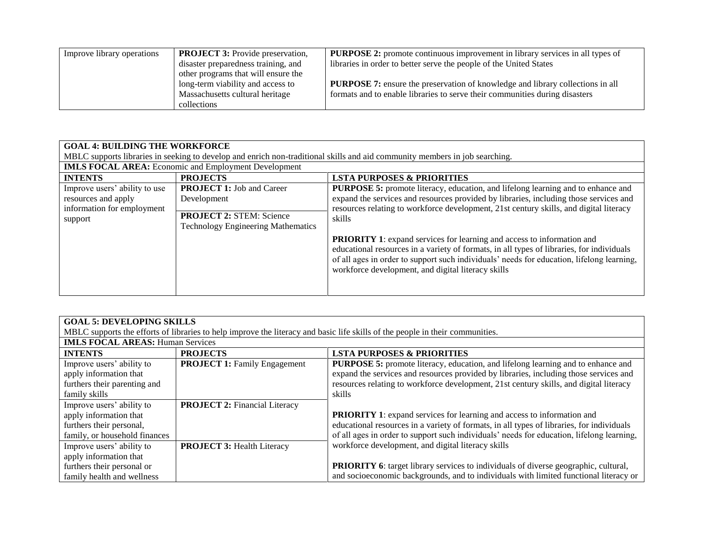| Improve library operations | <b>PROJECT 3:</b> Provide preservation, | <b>PURPOSE 2:</b> promote continuous improvement in library services in all types of  |
|----------------------------|-----------------------------------------|---------------------------------------------------------------------------------------|
|                            | disaster preparedness training, and     | libraries in order to better serve the people of the United States                    |
|                            | other programs that will ensure the     |                                                                                       |
|                            | long-term viability and access to       | <b>PURPOSE 7:</b> ensure the preservation of knowledge and library collections in all |
|                            | Massachusetts cultural heritage         | formats and to enable libraries to serve their communities during disasters           |
|                            | collections                             |                                                                                       |

#### **GOAL 4: BUILDING THE WORKFORCE**

MBLC supports libraries in seeking to develop and enrich non-traditional skills and aid community members in job searching.

| <b>IMLS FOCAL AREA:</b> Economic and Employment Development                                   |                                                                                                                                 |                                                                                                                                                                                                                                                                                                                               |  |
|-----------------------------------------------------------------------------------------------|---------------------------------------------------------------------------------------------------------------------------------|-------------------------------------------------------------------------------------------------------------------------------------------------------------------------------------------------------------------------------------------------------------------------------------------------------------------------------|--|
| <b>INTENTS</b>                                                                                | <b>PROJECTS</b>                                                                                                                 | <b>LSTA PURPOSES &amp; PRIORITIES</b>                                                                                                                                                                                                                                                                                         |  |
| Improve users' ability to use<br>resources and apply<br>information for employment<br>support | <b>PROJECT 1: Job and Career</b><br>Development<br><b>PROJECT 2: STEM: Science</b><br><b>Technology Engineering Mathematics</b> | <b>PURPOSE 5:</b> promote literacy, education, and lifelong learning and to enhance and<br>expand the services and resources provided by libraries, including those services and<br>resources relating to workforce development, 21st century skills, and digital literacy<br>skills                                          |  |
|                                                                                               |                                                                                                                                 | <b>PRIORITY 1:</b> expand services for learning and access to information and<br>educational resources in a variety of formats, in all types of libraries, for individuals<br>of all ages in order to support such individuals' needs for education, lifelong learning,<br>workforce development, and digital literacy skills |  |

| <b>GOAL 5: DEVELOPING SKILLS</b>                                                                                              |                                      |                                                                                            |
|-------------------------------------------------------------------------------------------------------------------------------|--------------------------------------|--------------------------------------------------------------------------------------------|
| MBLC supports the efforts of libraries to help improve the literacy and basic life skills of the people in their communities. |                                      |                                                                                            |
| <b>IMLS FOCAL AREAS: Human Services</b>                                                                                       |                                      |                                                                                            |
| <b>INTENTS</b>                                                                                                                | <b>PROJECTS</b>                      | <b>LSTA PURPOSES &amp; PRIORITIES</b>                                                      |
| Improve users' ability to                                                                                                     | <b>PROJECT 1:</b> Family Engagement  | <b>PURPOSE 5:</b> promote literacy, education, and lifelong learning and to enhance and    |
| apply information that                                                                                                        |                                      | expand the services and resources provided by libraries, including those services and      |
| furthers their parenting and                                                                                                  |                                      | resources relating to workforce development, 21st century skills, and digital literacy     |
| family skills                                                                                                                 |                                      | skills                                                                                     |
| Improve users' ability to                                                                                                     | <b>PROJECT 2: Financial Literacy</b> |                                                                                            |
| apply information that                                                                                                        |                                      | <b>PRIORITY 1:</b> expand services for learning and access to information and              |
| furthers their personal,                                                                                                      |                                      | educational resources in a variety of formats, in all types of libraries, for individuals  |
| family, or household finances                                                                                                 |                                      | of all ages in order to support such individuals' needs for education, lifelong learning,  |
| Improve users' ability to                                                                                                     | <b>PROJECT 3: Health Literacy</b>    | workforce development, and digital literacy skills                                         |
| apply information that                                                                                                        |                                      |                                                                                            |
| furthers their personal or                                                                                                    |                                      | <b>PRIORITY 6:</b> target library services to individuals of diverse geographic, cultural, |
| family health and wellness                                                                                                    |                                      | and socioeconomic backgrounds, and to individuals with limited functional literacy or      |